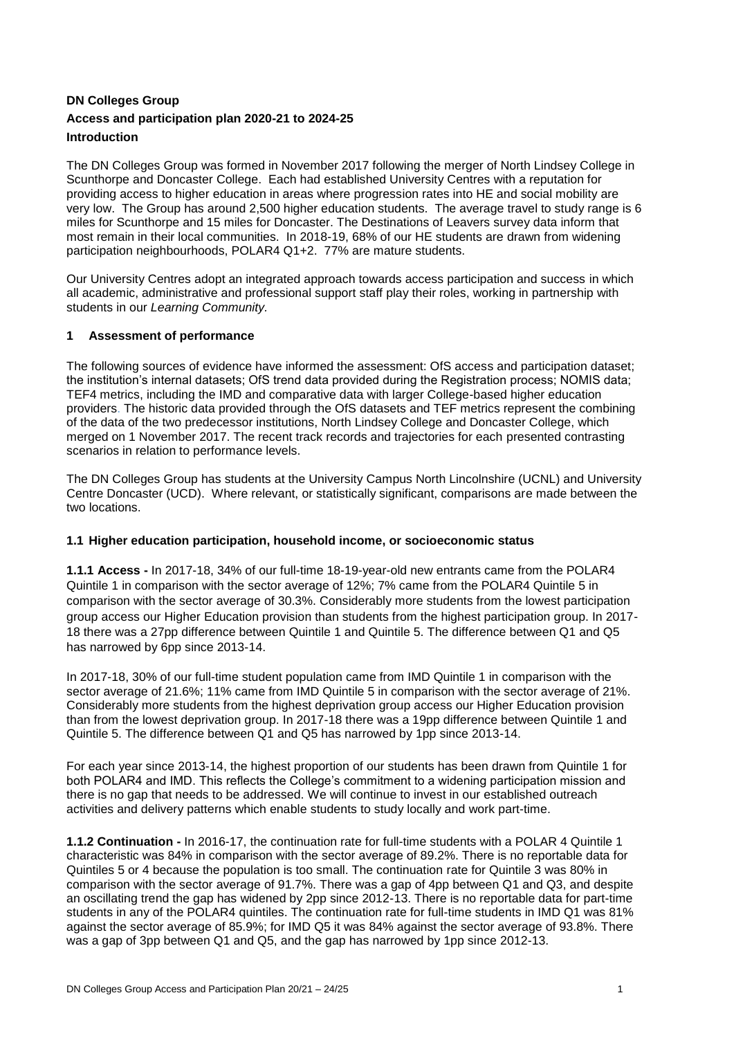### **DN Colleges Group Access and participation plan 2020-21 to 2024-25 Introduction**

The DN Colleges Group was formed in November 2017 following the merger of North Lindsey College in Scunthorpe and Doncaster College. Each had established University Centres with a reputation for providing access to higher education in areas where progression rates into HE and social mobility are very low. The Group has around 2,500 higher education students. The average travel to study range is 6 miles for Scunthorpe and 15 miles for Doncaster. The Destinations of Leavers survey data inform that most remain in their local communities. In 2018-19, 68% of our HE students are drawn from widening participation neighbourhoods, POLAR4 Q1+2. 77% are mature students.

Our University Centres adopt an integrated approach towards access participation and success in which all academic, administrative and professional support staff play their roles, working in partnership with students in our *Learning Community.*

#### **1 Assessment of performance**

The following sources of evidence have informed the assessment: OfS access and participation dataset; the institution's internal datasets; OfS trend data provided during the Registration process; NOMIS data; TEF4 metrics, including the IMD and comparative data with larger College-based higher education providers. The historic data provided through the OfS datasets and TEF metrics represent the combining of the data of the two predecessor institutions, North Lindsey College and Doncaster College, which merged on 1 November 2017. The recent track records and trajectories for each presented contrasting scenarios in relation to performance levels.

The DN Colleges Group has students at the University Campus North Lincolnshire (UCNL) and University Centre Doncaster (UCD). Where relevant, or statistically significant, comparisons are made between the two locations.

#### **1.1 Higher education participation, household income, or socioeconomic status**

**1.1.1 Access -** In 2017-18, 34% of our full-time 18-19-year-old new entrants came from the POLAR4 Quintile 1 in comparison with the sector average of 12%; 7% came from the POLAR4 Quintile 5 in comparison with the sector average of 30.3%. Considerably more students from the lowest participation group access our Higher Education provision than students from the highest participation group. In 2017- 18 there was a 27pp difference between Quintile 1 and Quintile 5. The difference between Q1 and Q5 has narrowed by 6pp since 2013-14.

In 2017-18, 30% of our full-time student population came from IMD Quintile 1 in comparison with the sector average of 21.6%; 11% came from IMD Quintile 5 in comparison with the sector average of 21%. Considerably more students from the highest deprivation group access our Higher Education provision than from the lowest deprivation group. In 2017-18 there was a 19pp difference between Quintile 1 and Quintile 5. The difference between Q1 and Q5 has narrowed by 1pp since 2013-14.

For each year since 2013-14, the highest proportion of our students has been drawn from Quintile 1 for both POLAR4 and IMD. This reflects the College's commitment to a widening participation mission and there is no gap that needs to be addressed. We will continue to invest in our established outreach activities and delivery patterns which enable students to study locally and work part-time.

**1.1.2 Continuation -** In 2016-17, the continuation rate for full-time students with a POLAR 4 Quintile 1 characteristic was 84% in comparison with the sector average of 89.2%. There is no reportable data for Quintiles 5 or 4 because the population is too small. The continuation rate for Quintile 3 was 80% in comparison with the sector average of 91.7%. There was a gap of 4pp between Q1 and Q3, and despite an oscillating trend the gap has widened by 2pp since 2012-13. There is no reportable data for part-time students in any of the POLAR4 quintiles. The continuation rate for full-time students in IMD Q1 was 81% against the sector average of 85.9%; for IMD Q5 it was 84% against the sector average of 93.8%. There was a gap of 3pp between Q1 and Q5, and the gap has narrowed by 1pp since 2012-13.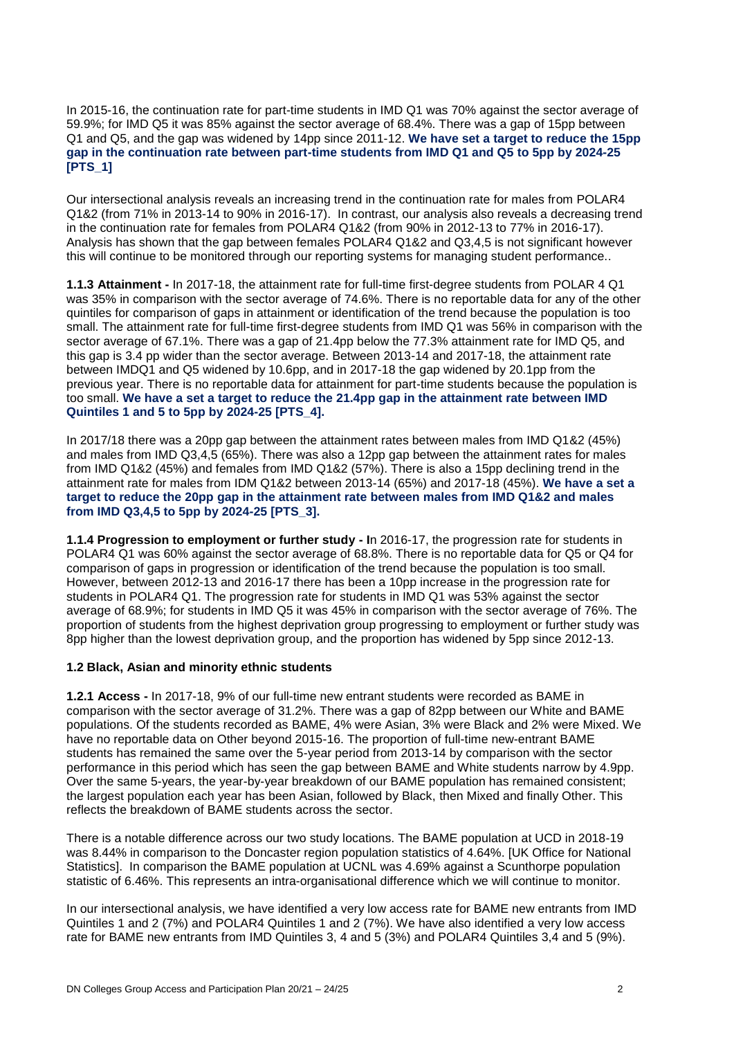In 2015-16, the continuation rate for part-time students in IMD Q1 was 70% against the sector average of 59.9%; for IMD Q5 it was 85% against the sector average of 68.4%. There was a gap of 15pp between Q1 and Q5, and the gap was widened by 14pp since 2011-12. **We have set a target to reduce the 15pp gap in the continuation rate between part-time students from IMD Q1 and Q5 to 5pp by 2024-25 [PTS\_1]**

Our intersectional analysis reveals an increasing trend in the continuation rate for males from POLAR4 Q1&2 (from 71% in 2013-14 to 90% in 2016-17). In contrast, our analysis also reveals a decreasing trend in the continuation rate for females from POLAR4 Q1&2 (from 90% in 2012-13 to 77% in 2016-17). Analysis has shown that the gap between females POLAR4 Q1&2 and Q3,4,5 is not significant however this will continue to be monitored through our reporting systems for managing student performance..

**1.1.3 Attainment -** In 2017-18, the attainment rate for full-time first-degree students from POLAR 4 Q1 was 35% in comparison with the sector average of 74.6%. There is no reportable data for any of the other quintiles for comparison of gaps in attainment or identification of the trend because the population is too small. The attainment rate for full-time first-degree students from IMD Q1 was 56% in comparison with the sector average of 67.1%. There was a gap of 21.4pp below the 77.3% attainment rate for IMD Q5, and this gap is 3.4 pp wider than the sector average. Between 2013-14 and 2017-18, the attainment rate between IMDQ1 and Q5 widened by 10.6pp, and in 2017-18 the gap widened by 20.1pp from the previous year. There is no reportable data for attainment for part-time students because the population is too small. **We have a set a target to reduce the 21.4pp gap in the attainment rate between IMD Quintiles 1 and 5 to 5pp by 2024-25 [PTS\_4].**

In 2017/18 there was a 20pp gap between the attainment rates between males from IMD Q1&2 (45%) and males from IMD Q3,4,5 (65%). There was also a 12pp gap between the attainment rates for males from IMD Q1&2 (45%) and females from IMD Q1&2 (57%). There is also a 15pp declining trend in the attainment rate for males from IDM Q1&2 between 2013-14 (65%) and 2017-18 (45%). **We have a set a target to reduce the 20pp gap in the attainment rate between males from IMD Q1&2 and males from IMD Q3,4,5 to 5pp by 2024-25 [PTS\_3].**

**1.1.4 Progression to employment or further study - I**n 2016-17, the progression rate for students in POLAR4 Q1 was 60% against the sector average of 68.8%. There is no reportable data for Q5 or Q4 for comparison of gaps in progression or identification of the trend because the population is too small. However, between 2012-13 and 2016-17 there has been a 10pp increase in the progression rate for students in POLAR4 Q1. The progression rate for students in IMD Q1 was 53% against the sector average of 68.9%; for students in IMD Q5 it was 45% in comparison with the sector average of 76%. The proportion of students from the highest deprivation group progressing to employment or further study was 8pp higher than the lowest deprivation group, and the proportion has widened by 5pp since 2012-13.

#### **1.2 Black, Asian and minority ethnic students**

**1.2.1 Access -** In 2017-18, 9% of our full-time new entrant students were recorded as BAME in comparison with the sector average of 31.2%. There was a gap of 82pp between our White and BAME populations. Of the students recorded as BAME, 4% were Asian, 3% were Black and 2% were Mixed. We have no reportable data on Other beyond 2015-16. The proportion of full-time new-entrant BAME students has remained the same over the 5-year period from 2013-14 by comparison with the sector performance in this period which has seen the gap between BAME and White students narrow by 4.9pp. Over the same 5-years, the year-by-year breakdown of our BAME population has remained consistent; the largest population each year has been Asian, followed by Black, then Mixed and finally Other. This reflects the breakdown of BAME students across the sector.

There is a notable difference across our two study locations. The BAME population at UCD in 2018-19 was 8.44% in comparison to the Doncaster region population statistics of 4.64%. [UK Office for National Statistics]. In comparison the BAME population at UCNL was 4.69% against a Scunthorpe population statistic of 6.46%. This represents an intra-organisational difference which we will continue to monitor.

In our intersectional analysis, we have identified a very low access rate for BAME new entrants from IMD Quintiles 1 and 2 (7%) and POLAR4 Quintiles 1 and 2 (7%). We have also identified a very low access rate for BAME new entrants from IMD Quintiles 3, 4 and 5 (3%) and POLAR4 Quintiles 3,4 and 5 (9%).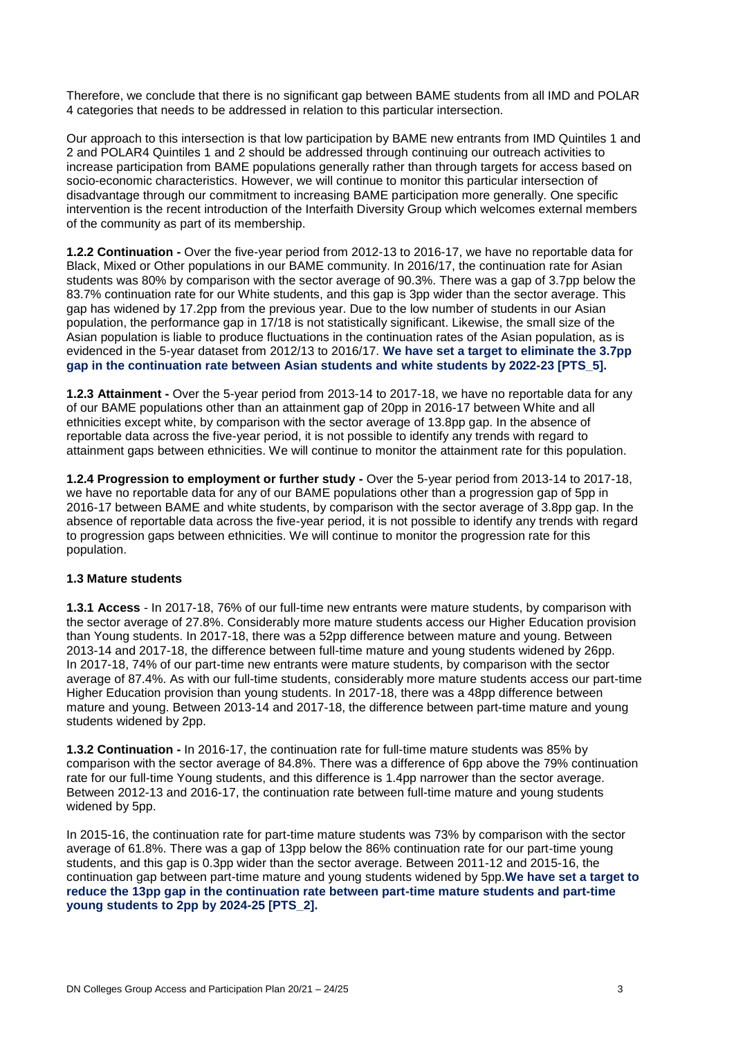Therefore, we conclude that there is no significant gap between BAME students from all IMD and POLAR 4 categories that needs to be addressed in relation to this particular intersection.

Our approach to this intersection is that low participation by BAME new entrants from IMD Quintiles 1 and 2 and POLAR4 Quintiles 1 and 2 should be addressed through continuing our outreach activities to increase participation from BAME populations generally rather than through targets for access based on socio-economic characteristics. However, we will continue to monitor this particular intersection of disadvantage through our commitment to increasing BAME participation more generally. One specific intervention is the recent introduction of the Interfaith Diversity Group which welcomes external members of the community as part of its membership.

**1.2.2 Continuation -** Over the five-year period from 2012-13 to 2016-17, we have no reportable data for Black, Mixed or Other populations in our BAME community. In 2016/17, the continuation rate for Asian students was 80% by comparison with the sector average of 90.3%. There was a gap of 3.7pp below the 83.7% continuation rate for our White students, and this gap is 3pp wider than the sector average. This gap has widened by 17.2pp from the previous year. Due to the low number of students in our Asian population, the performance gap in 17/18 is not statistically significant. Likewise, the small size of the Asian population is liable to produce fluctuations in the continuation rates of the Asian population, as is evidenced in the 5-year dataset from 2012/13 to 2016/17. **We have set a target to eliminate the 3.7pp gap in the continuation rate between Asian students and white students by 2022-23 [PTS\_5].**

**1.2.3 Attainment -** Over the 5-year period from 2013-14 to 2017-18, we have no reportable data for any of our BAME populations other than an attainment gap of 20pp in 2016-17 between White and all ethnicities except white, by comparison with the sector average of 13.8pp gap. In the absence of reportable data across the five-year period, it is not possible to identify any trends with regard to attainment gaps between ethnicities. We will continue to monitor the attainment rate for this population.

**1.2.4 Progression to employment or further study -** Over the 5-year period from 2013-14 to 2017-18, we have no reportable data for any of our BAME populations other than a progression gap of 5pp in 2016-17 between BAME and white students, by comparison with the sector average of 3.8pp gap. In the absence of reportable data across the five-year period, it is not possible to identify any trends with regard to progression gaps between ethnicities. We will continue to monitor the progression rate for this population.

#### **1.3 Mature students**

**1.3.1 Access** - In 2017-18, 76% of our full-time new entrants were mature students, by comparison with the sector average of 27.8%. Considerably more mature students access our Higher Education provision than Young students. In 2017-18, there was a 52pp difference between mature and young. Between 2013-14 and 2017-18, the difference between full-time mature and young students widened by 26pp. In 2017-18, 74% of our part-time new entrants were mature students, by comparison with the sector average of 87.4%. As with our full-time students, considerably more mature students access our part-time Higher Education provision than young students. In 2017-18, there was a 48pp difference between mature and young. Between 2013-14 and 2017-18, the difference between part-time mature and young students widened by 2pp.

**1.3.2 Continuation -** In 2016-17, the continuation rate for full-time mature students was 85% by comparison with the sector average of 84.8%. There was a difference of 6pp above the 79% continuation rate for our full-time Young students, and this difference is 1.4pp narrower than the sector average. Between 2012-13 and 2016-17, the continuation rate between full-time mature and young students widened by 5pp.

In 2015-16, the continuation rate for part-time mature students was 73% by comparison with the sector average of 61.8%. There was a gap of 13pp below the 86% continuation rate for our part-time young students, and this gap is 0.3pp wider than the sector average. Between 2011-12 and 2015-16, the continuation gap between part-time mature and young students widened by 5pp.**We have set a target to reduce the 13pp gap in the continuation rate between part-time mature students and part-time young students to 2pp by 2024-25 [PTS\_2].**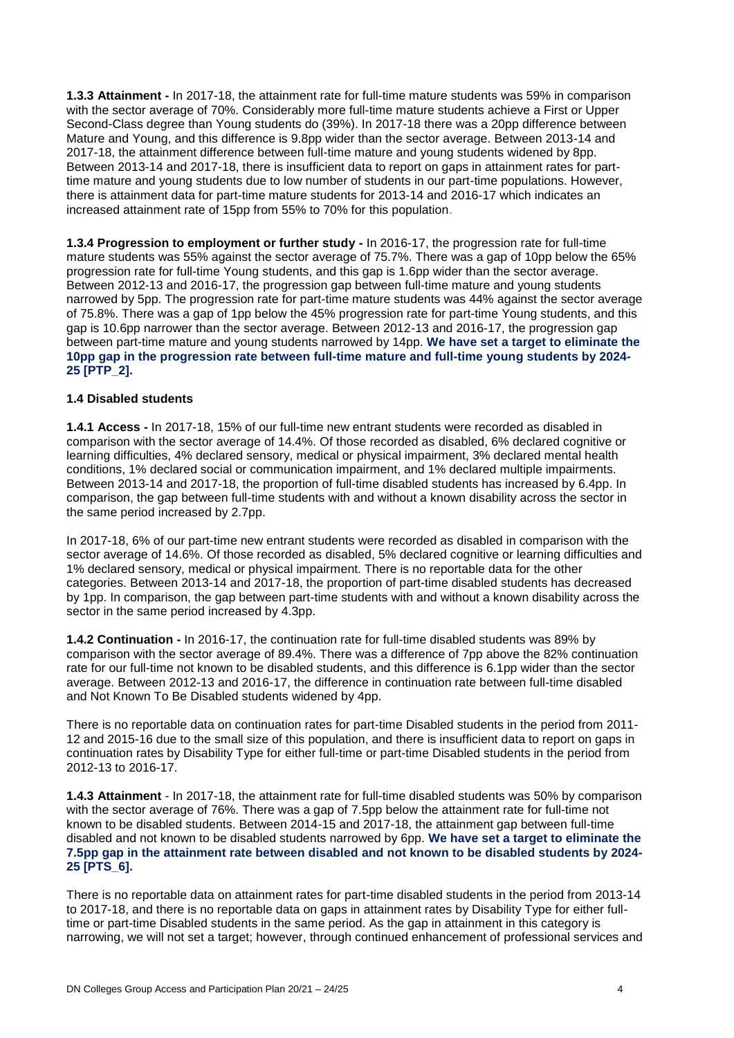**1.3.3 Attainment -** In 2017-18, the attainment rate for full-time mature students was 59% in comparison with the sector average of 70%. Considerably more full-time mature students achieve a First or Upper Second-Class degree than Young students do (39%). In 2017-18 there was a 20pp difference between Mature and Young, and this difference is 9.8pp wider than the sector average. Between 2013-14 and 2017-18, the attainment difference between full-time mature and young students widened by 8pp. Between 2013-14 and 2017-18, there is insufficient data to report on gaps in attainment rates for parttime mature and young students due to low number of students in our part-time populations. However, there is attainment data for part-time mature students for 2013-14 and 2016-17 which indicates an increased attainment rate of 15pp from 55% to 70% for this population.

**1.3.4 Progression to employment or further study -** In 2016-17, the progression rate for full-time mature students was 55% against the sector average of 75.7%. There was a gap of 10pp below the 65% progression rate for full-time Young students, and this gap is 1.6pp wider than the sector average. Between 2012-13 and 2016-17, the progression gap between full-time mature and young students narrowed by 5pp. The progression rate for part-time mature students was 44% against the sector average of 75.8%. There was a gap of 1pp below the 45% progression rate for part-time Young students, and this gap is 10.6pp narrower than the sector average. Between 2012-13 and 2016-17, the progression gap between part-time mature and young students narrowed by 14pp. **We have set a target to eliminate the 10pp gap in the progression rate between full-time mature and full-time young students by 2024- 25 [PTP\_2].**

#### **1.4 Disabled students**

**1.4.1 Access -** In 2017-18, 15% of our full-time new entrant students were recorded as disabled in comparison with the sector average of 14.4%. Of those recorded as disabled, 6% declared cognitive or learning difficulties, 4% declared sensory, medical or physical impairment, 3% declared mental health conditions, 1% declared social or communication impairment, and 1% declared multiple impairments. Between 2013-14 and 2017-18, the proportion of full-time disabled students has increased by 6.4pp. In comparison, the gap between full-time students with and without a known disability across the sector in the same period increased by 2.7pp.

In 2017-18, 6% of our part-time new entrant students were recorded as disabled in comparison with the sector average of 14.6%. Of those recorded as disabled, 5% declared cognitive or learning difficulties and 1% declared sensory, medical or physical impairment. There is no reportable data for the other categories. Between 2013-14 and 2017-18, the proportion of part-time disabled students has decreased by 1pp. In comparison, the gap between part-time students with and without a known disability across the sector in the same period increased by 4.3pp.

**1.4.2 Continuation -** In 2016-17, the continuation rate for full-time disabled students was 89% by comparison with the sector average of 89.4%. There was a difference of 7pp above the 82% continuation rate for our full-time not known to be disabled students, and this difference is 6.1pp wider than the sector average. Between 2012-13 and 2016-17, the difference in continuation rate between full-time disabled and Not Known To Be Disabled students widened by 4pp.

There is no reportable data on continuation rates for part-time Disabled students in the period from 2011- 12 and 2015-16 due to the small size of this population, and there is insufficient data to report on gaps in continuation rates by Disability Type for either full-time or part-time Disabled students in the period from 2012-13 to 2016-17.

**1.4.3 Attainment** - In 2017-18, the attainment rate for full-time disabled students was 50% by comparison with the sector average of 76%. There was a gap of 7.5pp below the attainment rate for full-time not known to be disabled students. Between 2014-15 and 2017-18, the attainment gap between full-time disabled and not known to be disabled students narrowed by 6pp. **We have set a target to eliminate the 7.5pp gap in the attainment rate between disabled and not known to be disabled students by 2024- 25 [PTS\_6].**

There is no reportable data on attainment rates for part-time disabled students in the period from 2013-14 to 2017-18, and there is no reportable data on gaps in attainment rates by Disability Type for either fulltime or part-time Disabled students in the same period. As the gap in attainment in this category is narrowing, we will not set a target; however, through continued enhancement of professional services and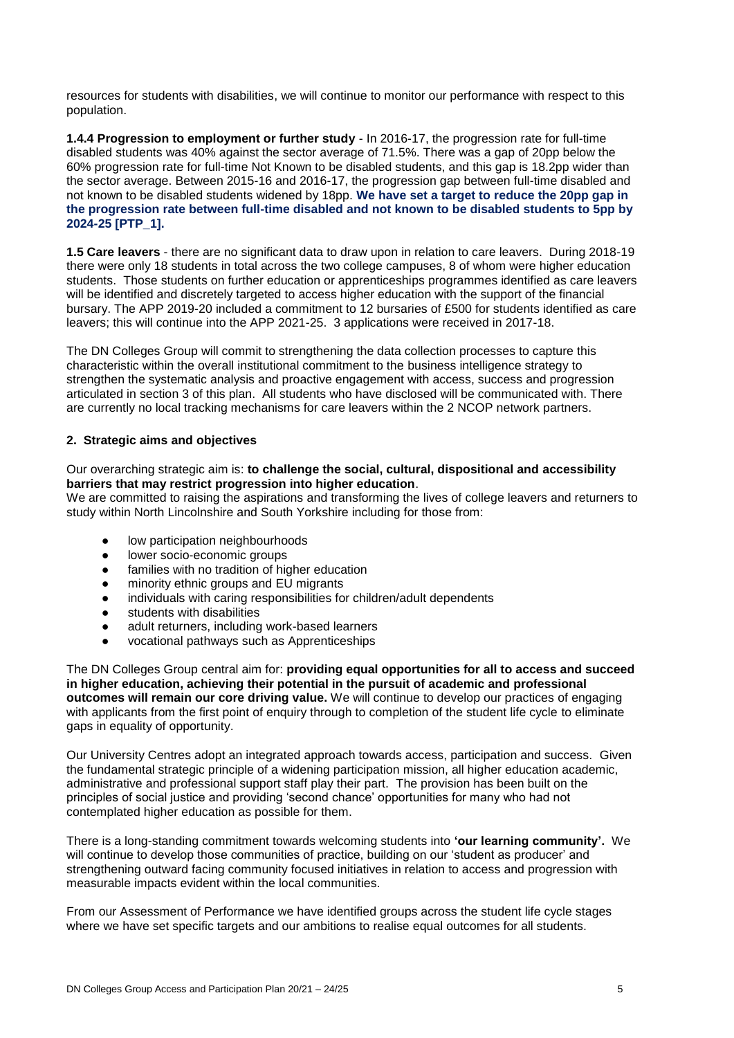resources for students with disabilities, we will continue to monitor our performance with respect to this population.

**1.4.4 Progression to employment or further study** - In 2016-17, the progression rate for full-time disabled students was 40% against the sector average of 71.5%. There was a gap of 20pp below the 60% progression rate for full-time Not Known to be disabled students, and this gap is 18.2pp wider than the sector average. Between 2015-16 and 2016-17, the progression gap between full-time disabled and not known to be disabled students widened by 18pp. **We have set a target to reduce the 20pp gap in the progression rate between full-time disabled and not known to be disabled students to 5pp by 2024-25 [PTP\_1].**

**1.5 Care leavers** - there are no significant data to draw upon in relation to care leavers. During 2018-19 there were only 18 students in total across the two college campuses, 8 of whom were higher education students. Those students on further education or apprenticeships programmes identified as care leavers will be identified and discretely targeted to access higher education with the support of the financial bursary. The APP 2019-20 included a commitment to 12 bursaries of £500 for students identified as care leavers; this will continue into the APP 2021-25. 3 applications were received in 2017-18.

The DN Colleges Group will commit to strengthening the data collection processes to capture this characteristic within the overall institutional commitment to the business intelligence strategy to strengthen the systematic analysis and proactive engagement with access, success and progression articulated in section 3 of this plan. All students who have disclosed will be communicated with. There are currently no local tracking mechanisms for care leavers within the 2 NCOP network partners.

#### **2. Strategic aims and objectives**

#### Our overarching strategic aim is: **to challenge the social, cultural, dispositional and accessibility barriers that may restrict progression into higher education**.

We are committed to raising the aspirations and transforming the lives of college leavers and returners to study within North Lincolnshire and South Yorkshire including for those from:

- low participation neighbourhoods
- lower socio-economic groups
- families with no tradition of higher education
- minority ethnic groups and EU migrants
- individuals with caring responsibilities for children/adult dependents
- students with disabilities
- adult returners, including work-based learners
- vocational pathways such as Apprenticeships

The DN Colleges Group central aim for: **providing equal opportunities for all to access and succeed in higher education, achieving their potential in the pursuit of academic and professional outcomes will remain our core driving value.** We will continue to develop our practices of engaging with applicants from the first point of enquiry through to completion of the student life cycle to eliminate gaps in equality of opportunity.

Our University Centres adopt an integrated approach towards access, participation and success. Given the fundamental strategic principle of a widening participation mission, all higher education academic, administrative and professional support staff play their part. The provision has been built on the principles of social justice and providing 'second chance' opportunities for many who had not contemplated higher education as possible for them.

There is a long-standing commitment towards welcoming students into **'our learning community'.** We will continue to develop those communities of practice, building on our 'student as producer' and strengthening outward facing community focused initiatives in relation to access and progression with measurable impacts evident within the local communities.

From our Assessment of Performance we have identified groups across the student life cycle stages where we have set specific targets and our ambitions to realise equal outcomes for all students.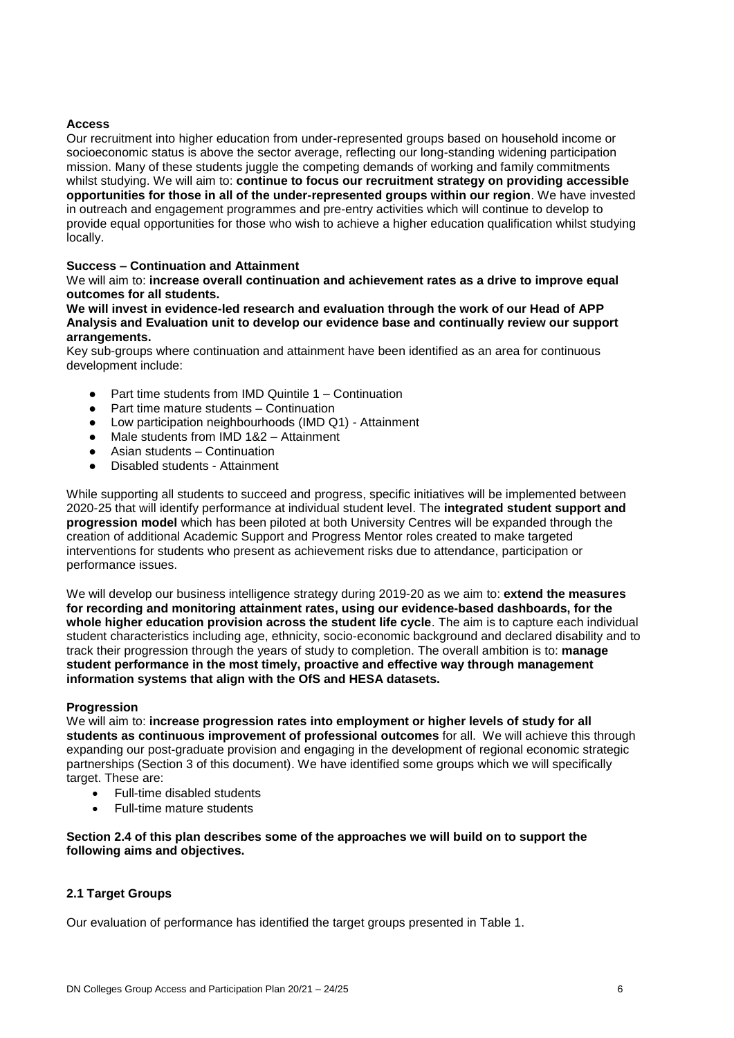#### **Access**

Our recruitment into higher education from under-represented groups based on household income or socioeconomic status is above the sector average, reflecting our long-standing widening participation mission. Many of these students juggle the competing demands of working and family commitments whilst studying. We will aim to: **continue to focus our recruitment strategy on providing accessible opportunities for those in all of the under-represented groups within our region**. We have invested in outreach and engagement programmes and pre-entry activities which will continue to develop to provide equal opportunities for those who wish to achieve a higher education qualification whilst studying locally.

#### **Success – Continuation and Attainment**

#### We will aim to: **increase overall continuation and achievement rates as a drive to improve equal outcomes for all students.**

#### **We will invest in evidence-led research and evaluation through the work of our Head of APP Analysis and Evaluation unit to develop our evidence base and continually review our support arrangements.**

Key sub-groups where continuation and attainment have been identified as an area for continuous development include:

- Part time students from IMD Quintile  $1 -$  Continuation
- **Part time mature students Continuation**
- Low participation neighbourhoods (IMD Q1) Attainment<br>● Male students from IMD 1&2 Attainment
- Male students from IMD 1&2 Attainment
- Asian students Continuation
- Disabled students Attainment

While supporting all students to succeed and progress, specific initiatives will be implemented between 2020-25 that will identify performance at individual student level. The **integrated student support and progression model** which has been piloted at both University Centres will be expanded through the creation of additional Academic Support and Progress Mentor roles created to make targeted interventions for students who present as achievement risks due to attendance, participation or performance issues.

We will develop our business intelligence strategy during 2019-20 as we aim to: **extend the measures for recording and monitoring attainment rates, using our evidence-based dashboards, for the whole higher education provision across the student life cycle**. The aim is to capture each individual student characteristics including age, ethnicity, socio-economic background and declared disability and to track their progression through the years of study to completion. The overall ambition is to: **manage student performance in the most timely, proactive and effective way through management information systems that align with the OfS and HESA datasets.**

#### **Progression**

We will aim to: **increase progression rates into employment or higher levels of study for all students as continuous improvement of professional outcomes** for all. We will achieve this through expanding our post-graduate provision and engaging in the development of regional economic strategic partnerships (Section 3 of this document). We have identified some groups which we will specifically target. These are:

- Full-time disabled students
- Full-time mature students

**Section 2.4 of this plan describes some of the approaches we will build on to support the following aims and objectives.**

#### **2.1 Target Groups**

Our evaluation of performance has identified the target groups presented in Table 1.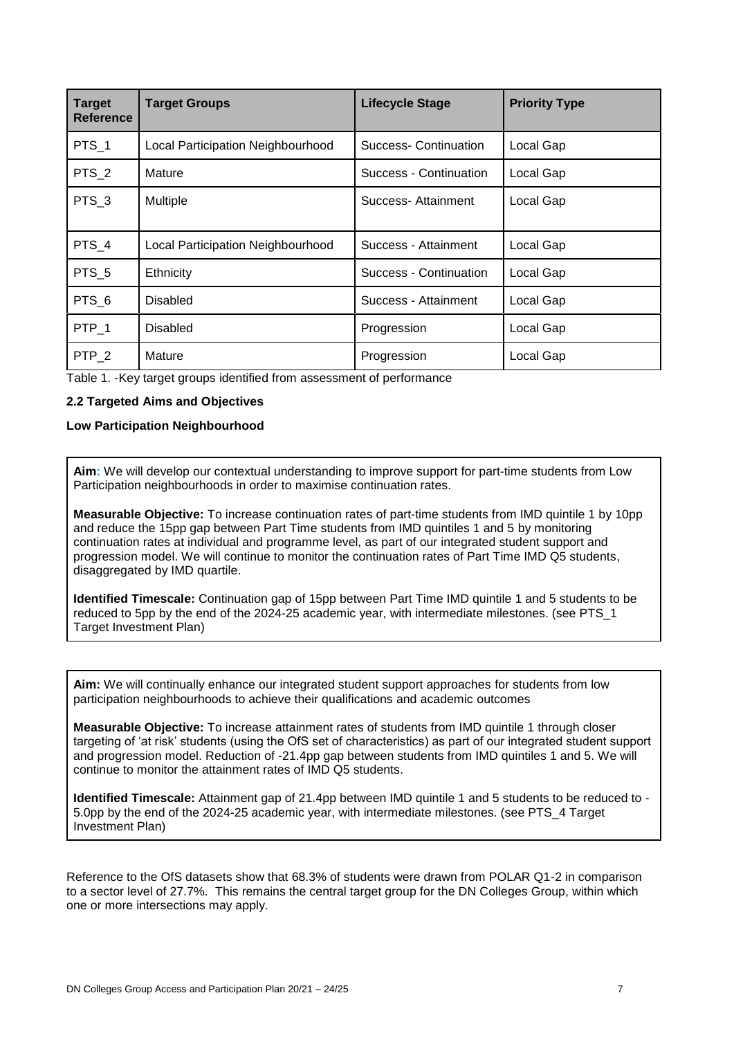| <b>Target</b><br><b>Reference</b> | <b>Target Groups</b>              | <b>Lifecycle Stage</b> | <b>Priority Type</b> |  |  |
|-----------------------------------|-----------------------------------|------------------------|----------------------|--|--|
| PTS_1                             | Local Participation Neighbourhood | Success- Continuation  | Local Gap            |  |  |
| PTS_2                             | Mature                            | Success - Continuation | Local Gap            |  |  |
| PTS <sub>3</sub>                  | Multiple                          | Success- Attainment    | Local Gap            |  |  |
| PTS 4                             | Local Participation Neighbourhood | Success - Attainment   | Local Gap            |  |  |
| PTS_5                             | Ethnicity                         | Success - Continuation | Local Gap            |  |  |
| PTS <sub>6</sub>                  | Disabled                          | Success - Attainment   | Local Gap            |  |  |
| PTP 1                             | Disabled                          | Progression            | Local Gap            |  |  |
| $PTP_2$                           | Mature                            | Progression            | Local Gap            |  |  |

Table 1. -Key target groups identified from assessment of performance

#### **2.2 Targeted Aims and Objectives**

#### **Low Participation Neighbourhood**

**Aim:** We will develop our contextual understanding to improve support for part-time students from Low Participation neighbourhoods in order to maximise continuation rates.

**Measurable Objective:** To increase continuation rates of part-time students from IMD quintile 1 by 10pp and reduce the 15pp gap between Part Time students from IMD quintiles 1 and 5 by monitoring continuation rates at individual and programme level, as part of our integrated student support and progression model. We will continue to monitor the continuation rates of Part Time IMD Q5 students, disaggregated by IMD quartile.

**Identified Timescale:** Continuation gap of 15pp between Part Time IMD quintile 1 and 5 students to be reduced to 5pp by the end of the 2024-25 academic year, with intermediate milestones. (see PTS\_1 Target Investment Plan)

**Aim:** We will continually enhance our integrated student support approaches for students from low participation neighbourhoods to achieve their qualifications and academic outcomes

**Measurable Objective:** To increase attainment rates of students from IMD quintile 1 through closer targeting of 'at risk' students (using the OfS set of characteristics) as part of our integrated student support and progression model. Reduction of -21.4pp gap between students from IMD quintiles 1 and 5. We will continue to monitor the attainment rates of IMD Q5 students.

**Identified Timescale:** Attainment gap of 21.4pp between IMD quintile 1 and 5 students to be reduced to - 5.0pp by the end of the 2024-25 academic year, with intermediate milestones. (see PTS\_4 Target Investment Plan)

Reference to the OfS datasets show that 68.3% of students were drawn from POLAR Q1-2 in comparison to a sector level of 27.7%. This remains the central target group for the DN Colleges Group, within which one or more intersections may apply.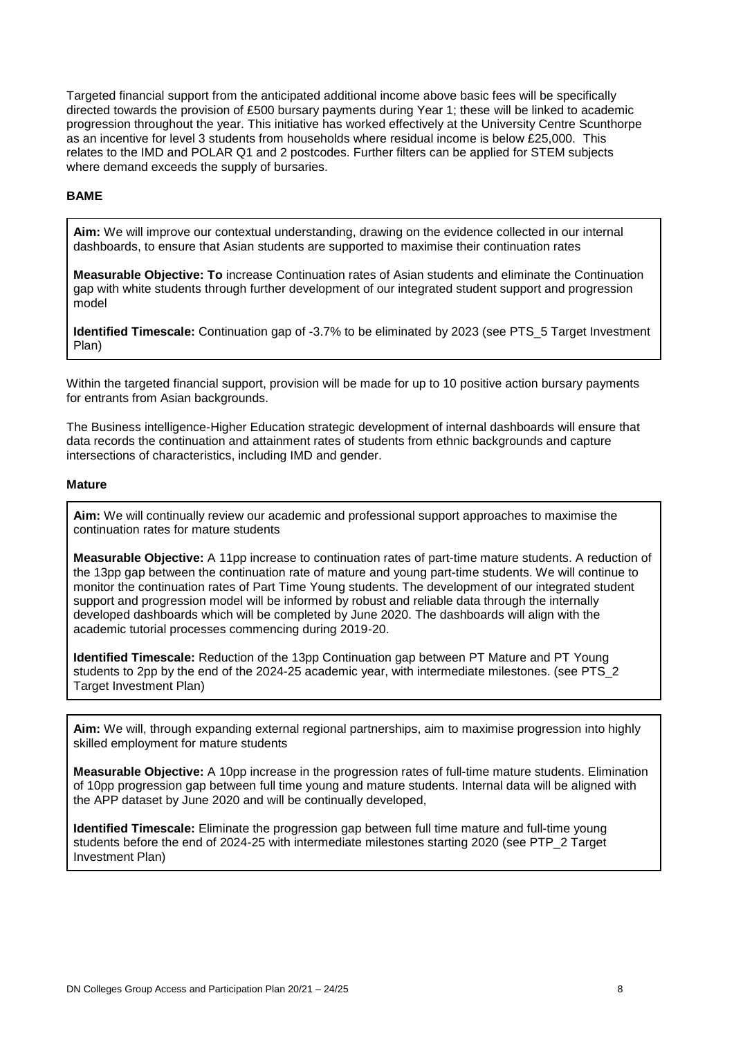Targeted financial support from the anticipated additional income above basic fees will be specifically directed towards the provision of £500 bursary payments during Year 1; these will be linked to academic progression throughout the year. This initiative has worked effectively at the University Centre Scunthorpe as an incentive for level 3 students from households where residual income is below £25,000. This relates to the IMD and POLAR Q1 and 2 postcodes. Further filters can be applied for STEM subjects where demand exceeds the supply of bursaries.

#### **BAME**

**Aim:** We will improve our contextual understanding, drawing on the evidence collected in our internal dashboards, to ensure that Asian students are supported to maximise their continuation rates

**Measurable Objective: To** increase Continuation rates of Asian students and eliminate the Continuation gap with white students through further development of our integrated student support and progression model

**Identified Timescale:** Continuation gap of -3.7% to be eliminated by 2023 (see PTS\_5 Target Investment Plan)

Within the targeted financial support, provision will be made for up to 10 positive action bursary payments for entrants from Asian backgrounds.

The Business intelligence-Higher Education strategic development of internal dashboards will ensure that data records the continuation and attainment rates of students from ethnic backgrounds and capture intersections of characteristics, including IMD and gender.

#### **Mature**

**Aim:** We will continually review our academic and professional support approaches to maximise the continuation rates for mature students

**Measurable Objective:** A 11pp increase to continuation rates of part-time mature students. A reduction of the 13pp gap between the continuation rate of mature and young part-time students. We will continue to monitor the continuation rates of Part Time Young students. The development of our integrated student support and progression model will be informed by robust and reliable data through the internally developed dashboards which will be completed by June 2020. The dashboards will align with the academic tutorial processes commencing during 2019-20.

**Identified Timescale:** Reduction of the 13pp Continuation gap between PT Mature and PT Young students to 2pp by the end of the 2024-25 academic year, with intermediate milestones. (see PTS\_2 Target Investment Plan)

**Aim:** We will, through expanding external regional partnerships, aim to maximise progression into highly skilled employment for mature students

**Measurable Objective:** A 10pp increase in the progression rates of full-time mature students. Elimination of 10pp progression gap between full time young and mature students. Internal data will be aligned with the APP dataset by June 2020 and will be continually developed,

**Identified Timescale:** Eliminate the progression gap between full time mature and full-time young students before the end of 2024-25 with intermediate milestones starting 2020 (see PTP\_2 Target Investment Plan)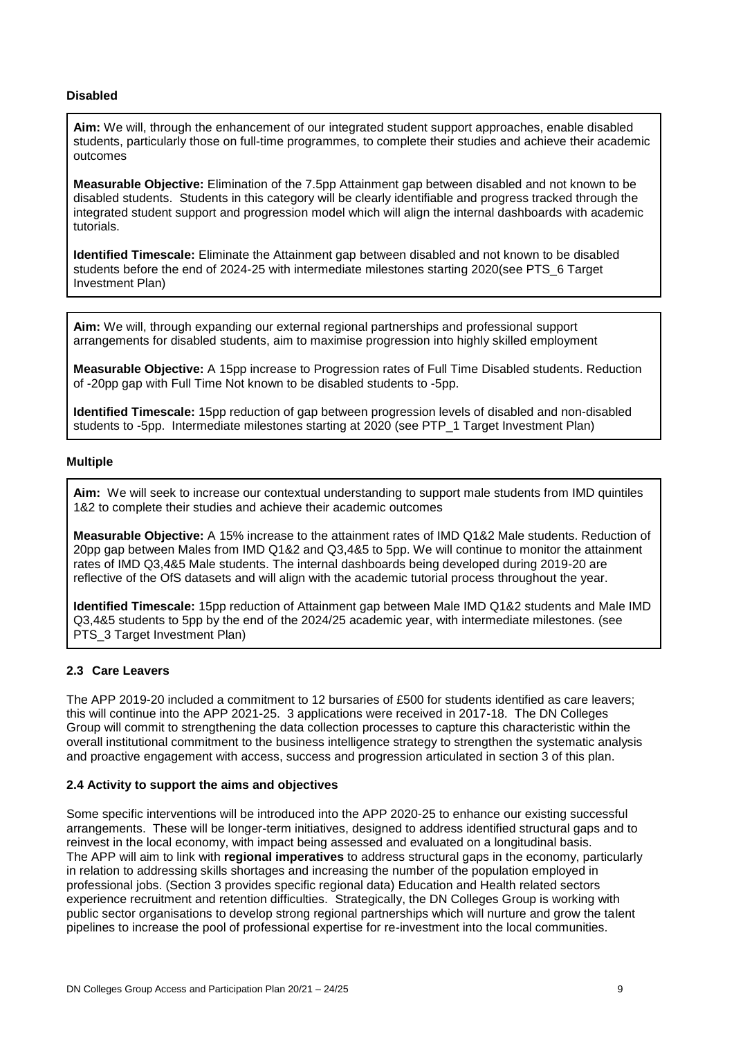#### **Disabled**

**Aim:** We will, through the enhancement of our integrated student support approaches, enable disabled students, particularly those on full-time programmes, to complete their studies and achieve their academic outcomes

**Measurable Objective:** Elimination of the 7.5pp Attainment gap between disabled and not known to be disabled students. Students in this category will be clearly identifiable and progress tracked through the integrated student support and progression model which will align the internal dashboards with academic tutorials.

**Identified Timescale:** Eliminate the Attainment gap between disabled and not known to be disabled students before the end of 2024-25 with intermediate milestones starting 2020(see PTS\_6 Target Investment Plan)

**Aim:** We will, through expanding our external regional partnerships and professional support arrangements for disabled students, aim to maximise progression into highly skilled employment

**Measurable Objective:** A 15pp increase to Progression rates of Full Time Disabled students. Reduction of -20pp gap with Full Time Not known to be disabled students to -5pp.

**Identified Timescale:** 15pp reduction of gap between progression levels of disabled and non-disabled students to -5pp. Intermediate milestones starting at 2020 (see PTP\_1 Target Investment Plan)

#### **Multiple**

**Aim:** We will seek to increase our contextual understanding to support male students from IMD quintiles 1&2 to complete their studies and achieve their academic outcomes

**Measurable Objective:** A 15% increase to the attainment rates of IMD Q1&2 Male students. Reduction of 20pp gap between Males from IMD Q1&2 and Q3,4&5 to 5pp. We will continue to monitor the attainment rates of IMD Q3,4&5 Male students. The internal dashboards being developed during 2019-20 are reflective of the OfS datasets and will align with the academic tutorial process throughout the year.

**Identified Timescale:** 15pp reduction of Attainment gap between Male IMD Q1&2 students and Male IMD Q3,4&5 students to 5pp by the end of the 2024/25 academic year, with intermediate milestones. (see PTS 3 Target Investment Plan)

#### **2.3 Care Leavers**

The APP 2019-20 included a commitment to 12 bursaries of £500 for students identified as care leavers; this will continue into the APP 2021-25. 3 applications were received in 2017-18. The DN Colleges Group will commit to strengthening the data collection processes to capture this characteristic within the overall institutional commitment to the business intelligence strategy to strengthen the systematic analysis and proactive engagement with access, success and progression articulated in section 3 of this plan.

#### **2.4 Activity to support the aims and objectives**

Some specific interventions will be introduced into the APP 2020-25 to enhance our existing successful arrangements. These will be longer-term initiatives, designed to address identified structural gaps and to reinvest in the local economy, with impact being assessed and evaluated on a longitudinal basis. The APP will aim to link with **regional imperatives** to address structural gaps in the economy, particularly in relation to addressing skills shortages and increasing the number of the population employed in professional jobs. (Section 3 provides specific regional data) Education and Health related sectors experience recruitment and retention difficulties. Strategically, the DN Colleges Group is working with public sector organisations to develop strong regional partnerships which will nurture and grow the talent pipelines to increase the pool of professional expertise for re-investment into the local communities.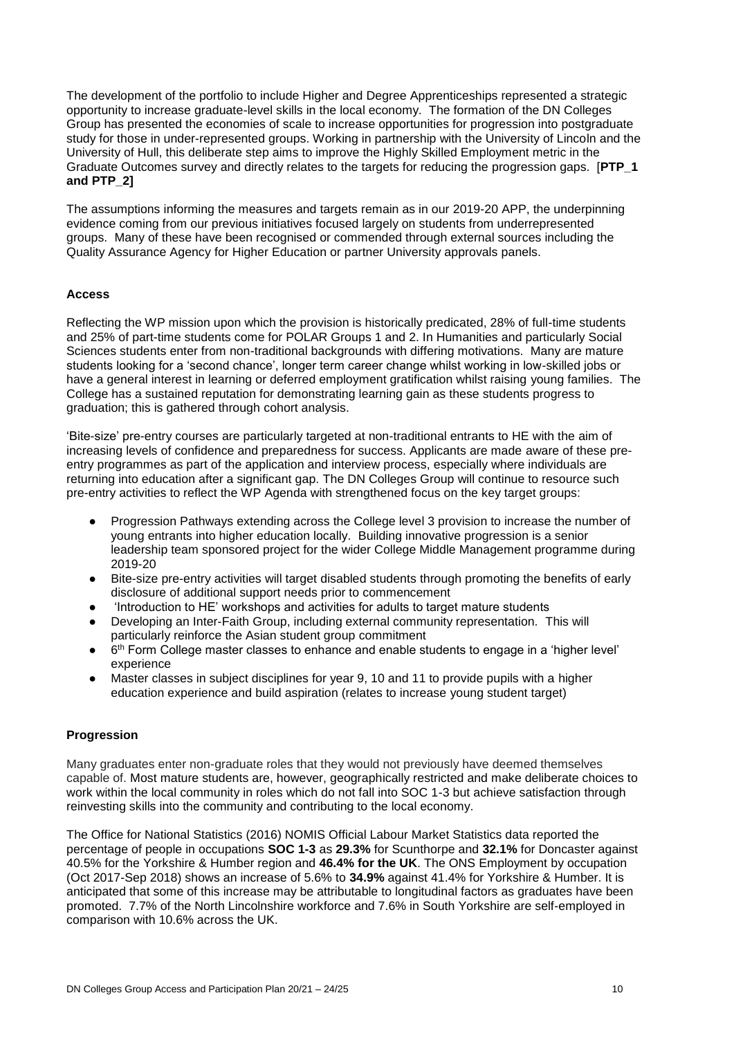The development of the portfolio to include Higher and Degree Apprenticeships represented a strategic opportunity to increase graduate-level skills in the local economy. The formation of the DN Colleges Group has presented the economies of scale to increase opportunities for progression into postgraduate study for those in under-represented groups. Working in partnership with the University of Lincoln and the University of Hull, this deliberate step aims to improve the Highly Skilled Employment metric in the Graduate Outcomes survey and directly relates to the targets for reducing the progression gaps. [**PTP\_1 and PTP\_2]**

The assumptions informing the measures and targets remain as in our 2019-20 APP, the underpinning evidence coming from our previous initiatives focused largely on students from underrepresented groups. Many of these have been recognised or commended through external sources including the Quality Assurance Agency for Higher Education or partner University approvals panels.

#### **Access**

Reflecting the WP mission upon which the provision is historically predicated, 28% of full-time students and 25% of part-time students come for POLAR Groups 1 and 2. In Humanities and particularly Social Sciences students enter from non-traditional backgrounds with differing motivations. Many are mature students looking for a 'second chance', longer term career change whilst working in low-skilled jobs or have a general interest in learning or deferred employment gratification whilst raising young families. The College has a sustained reputation for demonstrating learning gain as these students progress to graduation; this is gathered through cohort analysis.

'Bite-size' pre-entry courses are particularly targeted at non-traditional entrants to HE with the aim of increasing levels of confidence and preparedness for success. Applicants are made aware of these preentry programmes as part of the application and interview process, especially where individuals are returning into education after a significant gap. The DN Colleges Group will continue to resource such pre-entry activities to reflect the WP Agenda with strengthened focus on the key target groups:

- Progression Pathways extending across the College level 3 provision to increase the number of young entrants into higher education locally. Building innovative progression is a senior leadership team sponsored project for the wider College Middle Management programme during 2019-20
- Bite-size pre-entry activities will target disabled students through promoting the benefits of early disclosure of additional support needs prior to commencement
- 'Introduction to HE' workshops and activities for adults to target mature students<br>● Developing an Inter-Faith Group. including external community representation T
- Developing an Inter-Faith Group, including external community representation. This will particularly reinforce the Asian student group commitment
- 6<sup>th</sup> Form College master classes to enhance and enable students to engage in a 'higher level' experience
- Master classes in subject disciplines for year 9, 10 and 11 to provide pupils with a higher education experience and build aspiration (relates to increase young student target)

#### **Progression**

Many graduates enter non-graduate roles that they would not previously have deemed themselves capable of. Most mature students are, however, geographically restricted and make deliberate choices to work within the local community in roles which do not fall into SOC 1-3 but achieve satisfaction through reinvesting skills into the community and contributing to the local economy.

The Office for National Statistics (2016) NOMIS Official Labour Market Statistics data reported the percentage of people in occupations **SOC 1-3** as **29.3%** for Scunthorpe and **32.1%** for Doncaster against 40.5% for the Yorkshire & Humber region and **46.4% for the UK**. The ONS Employment by occupation (Oct 2017-Sep 2018) shows an increase of 5.6% to **34.9%** against 41.4% for Yorkshire & Humber. It is anticipated that some of this increase may be attributable to longitudinal factors as graduates have been promoted. 7.7% of the North Lincolnshire workforce and 7.6% in South Yorkshire are self-employed in comparison with 10.6% across the UK.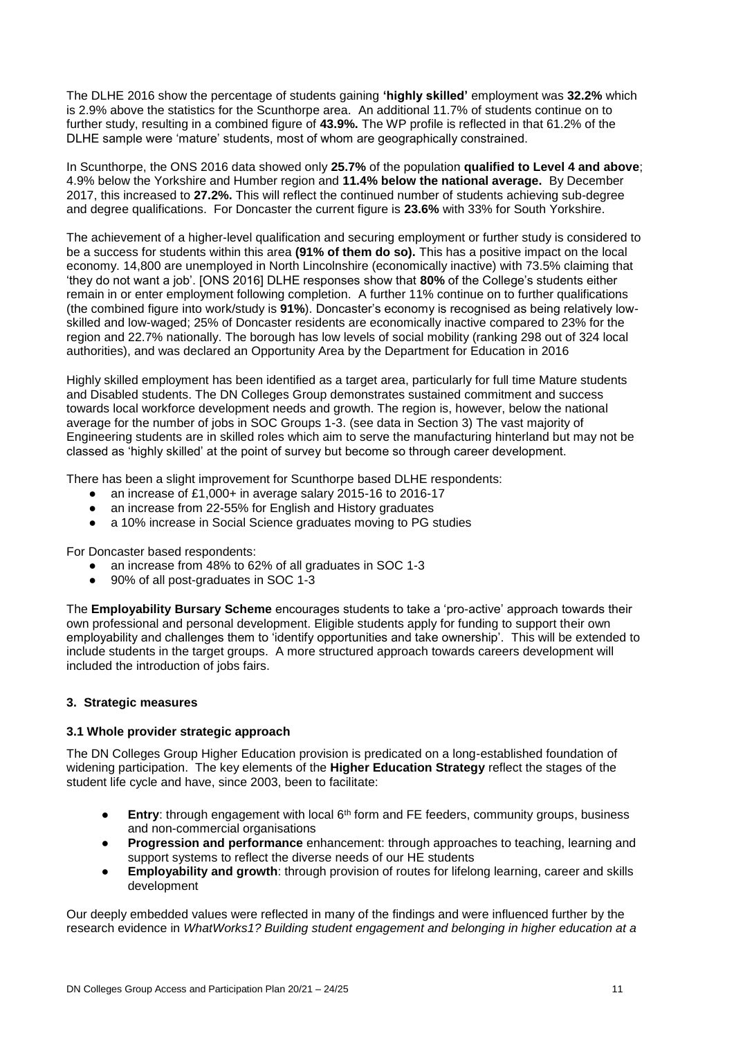The DLHE 2016 show the percentage of students gaining **'highly skilled'** employment was **32.2%** which is 2.9% above the statistics for the Scunthorpe area. An additional 11.7% of students continue on to further study, resulting in a combined figure of **43.9%.** The WP profile is reflected in that 61.2% of the DLHE sample were 'mature' students, most of whom are geographically constrained.

In Scunthorpe, the ONS 2016 data showed only **25.7%** of the population **qualified to Level 4 and above**; 4.9% below the Yorkshire and Humber region and **11.4% below the national average.** By December 2017, this increased to **27.2%.** This will reflect the continued number of students achieving sub-degree and degree qualifications. For Doncaster the current figure is **23.6%** with 33% for South Yorkshire.

The achievement of a higher-level qualification and securing employment or further study is considered to be a success for students within this area **(91% of them do so).** This has a positive impact on the local economy. 14,800 are unemployed in North Lincolnshire (economically inactive) with 73.5% claiming that 'they do not want a job'. [ONS 2016] DLHE responses show that **80%** of the College's students either remain in or enter employment following completion. A further 11% continue on to further qualifications (the combined figure into work/study is **91%**). Doncaster's economy is recognised as being relatively lowskilled and low-waged; 25% of Doncaster residents are economically inactive compared to 23% for the region and 22.7% nationally. The borough has low levels of social mobility (ranking 298 out of 324 local authorities), and was declared an Opportunity Area by the Department for Education in 2016

Highly skilled employment has been identified as a target area, particularly for full time Mature students and Disabled students. The DN Colleges Group demonstrates sustained commitment and success towards local workforce development needs and growth. The region is, however, below the national average for the number of jobs in SOC Groups 1-3. (see data in Section 3) The vast majority of Engineering students are in skilled roles which aim to serve the manufacturing hinterland but may not be classed as 'highly skilled' at the point of survey but become so through career development.

There has been a slight improvement for Scunthorpe based DLHE respondents:

- an increase of £1,000+ in average salary 2015-16 to 2016-17
- an increase from 22-55% for English and History graduates
- a 10% increase in Social Science graduates moving to PG studies

For Doncaster based respondents:

- an increase from 48% to 62% of all graduates in SOC 1-3
- 90% of all post-graduates in SOC 1-3

The **Employability Bursary Scheme** encourages students to take a 'pro-active' approach towards their own professional and personal development. Eligible students apply for funding to support their own employability and challenges them to 'identify opportunities and take ownership'. This will be extended to include students in the target groups. A more structured approach towards careers development will included the introduction of jobs fairs.

#### **3. Strategic measures**

#### **3.1 Whole provider strategic approach**

The DN Colleges Group Higher Education provision is predicated on a long-established foundation of widening participation. The key elements of the **Higher Education Strategy** reflect the stages of the student life cycle and have, since 2003, been to facilitate:

- **Entry:** through engagement with local 6<sup>th</sup> form and FE feeders, community groups, business and non-commercial organisations
- **Progression and performance** enhancement: through approaches to teaching, learning and support systems to reflect the diverse needs of our HE students
- **Employability and growth**: through provision of routes for lifelong learning, career and skills development

Our deeply embedded values were reflected in many of the findings and were influenced further by the research evidence in *WhatWorks1? Building student engagement and belonging in higher education at a*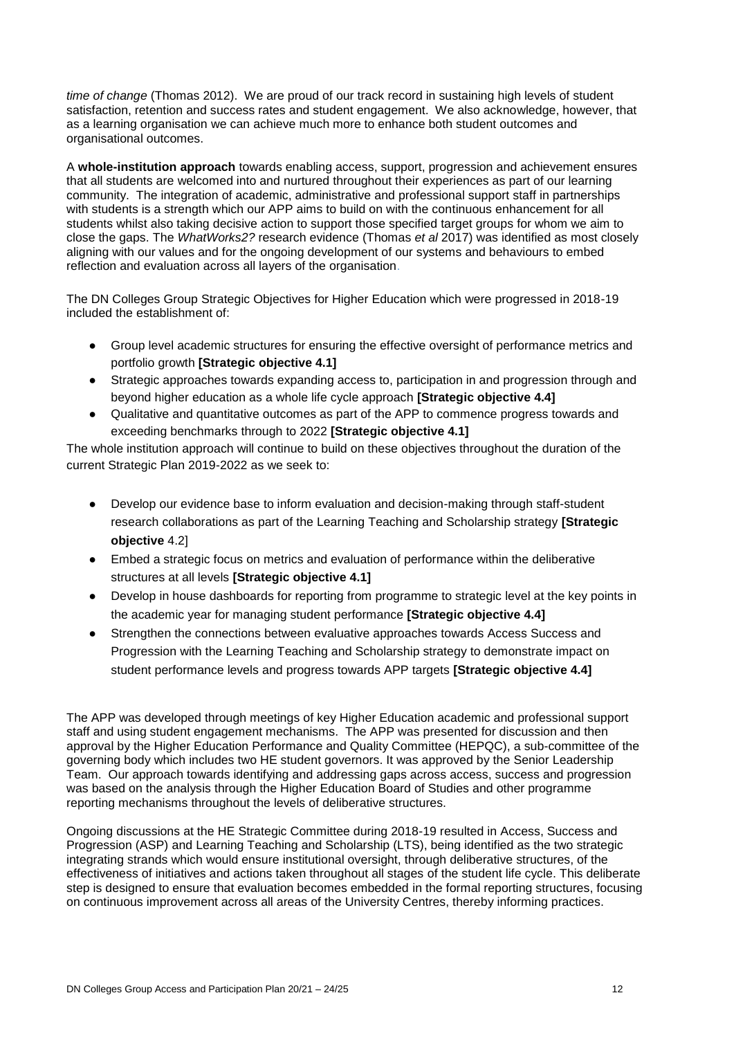*time of change* (Thomas 2012). We are proud of our track record in sustaining high levels of student satisfaction, retention and success rates and student engagement. We also acknowledge, however, that as a learning organisation we can achieve much more to enhance both student outcomes and organisational outcomes.

A **whole-institution approach** towards enabling access, support, progression and achievement ensures that all students are welcomed into and nurtured throughout their experiences as part of our learning community. The integration of academic, administrative and professional support staff in partnerships with students is a strength which our APP aims to build on with the continuous enhancement for all students whilst also taking decisive action to support those specified target groups for whom we aim to close the gaps. The *WhatWorks2?* research evidence (Thomas *et al* 2017) was identified as most closely aligning with our values and for the ongoing development of our systems and behaviours to embed reflection and evaluation across all layers of the organisation.

The DN Colleges Group Strategic Objectives for Higher Education which were progressed in 2018-19 included the establishment of:

- Group level academic structures for ensuring the effective oversight of performance metrics and portfolio growth **[Strategic objective 4.1]**
- Strategic approaches towards expanding access to, participation in and progression through and beyond higher education as a whole life cycle approach **[Strategic objective 4.4]**
- Qualitative and quantitative outcomes as part of the APP to commence progress towards and exceeding benchmarks through to 2022 **[Strategic objective 4.1]**

The whole institution approach will continue to build on these objectives throughout the duration of the current Strategic Plan 2019-2022 as we seek to:

- Develop our evidence base to inform evaluation and decision-making through staff-student research collaborations as part of the Learning Teaching and Scholarship strategy **[Strategic objective** 4.2]
- Embed a strategic focus on metrics and evaluation of performance within the deliberative structures at all levels **[Strategic objective 4.1]**
- Develop in house dashboards for reporting from programme to strategic level at the key points in the academic year for managing student performance **[Strategic objective 4.4]**
- Strengthen the connections between evaluative approaches towards Access Success and Progression with the Learning Teaching and Scholarship strategy to demonstrate impact on student performance levels and progress towards APP targets **[Strategic objective 4.4]**

The APP was developed through meetings of key Higher Education academic and professional support staff and using student engagement mechanisms. The APP was presented for discussion and then approval by the Higher Education Performance and Quality Committee (HEPQC), a sub-committee of the governing body which includes two HE student governors. It was approved by the Senior Leadership Team. Our approach towards identifying and addressing gaps across access, success and progression was based on the analysis through the Higher Education Board of Studies and other programme reporting mechanisms throughout the levels of deliberative structures.

Ongoing discussions at the HE Strategic Committee during 2018-19 resulted in Access, Success and Progression (ASP) and Learning Teaching and Scholarship (LTS), being identified as the two strategic integrating strands which would ensure institutional oversight, through deliberative structures, of the effectiveness of initiatives and actions taken throughout all stages of the student life cycle. This deliberate step is designed to ensure that evaluation becomes embedded in the formal reporting structures, focusing on continuous improvement across all areas of the University Centres, thereby informing practices.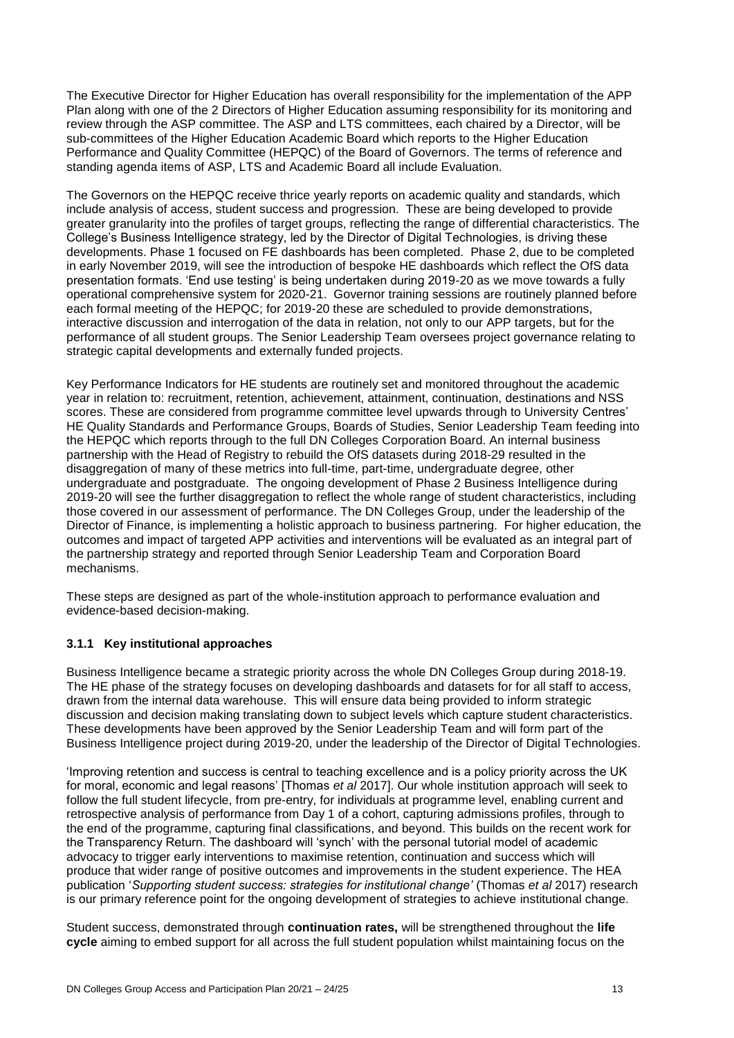The Executive Director for Higher Education has overall responsibility for the implementation of the APP Plan along with one of the 2 Directors of Higher Education assuming responsibility for its monitoring and review through the ASP committee. The ASP and LTS committees, each chaired by a Director, will be sub-committees of the Higher Education Academic Board which reports to the Higher Education Performance and Quality Committee (HEPQC) of the Board of Governors. The terms of reference and standing agenda items of ASP, LTS and Academic Board all include Evaluation.

The Governors on the HEPQC receive thrice yearly reports on academic quality and standards, which include analysis of access, student success and progression. These are being developed to provide greater granularity into the profiles of target groups, reflecting the range of differential characteristics. The College's Business Intelligence strategy, led by the Director of Digital Technologies, is driving these developments. Phase 1 focused on FE dashboards has been completed. Phase 2, due to be completed in early November 2019, will see the introduction of bespoke HE dashboards which reflect the OfS data presentation formats. 'End use testing' is being undertaken during 2019-20 as we move towards a fully operational comprehensive system for 2020-21. Governor training sessions are routinely planned before each formal meeting of the HEPQC; for 2019-20 these are scheduled to provide demonstrations, interactive discussion and interrogation of the data in relation, not only to our APP targets, but for the performance of all student groups. The Senior Leadership Team oversees project governance relating to strategic capital developments and externally funded projects.

Key Performance Indicators for HE students are routinely set and monitored throughout the academic year in relation to: recruitment, retention, achievement, attainment, continuation, destinations and NSS scores. These are considered from programme committee level upwards through to University Centres' HE Quality Standards and Performance Groups, Boards of Studies, Senior Leadership Team feeding into the HEPQC which reports through to the full DN Colleges Corporation Board. An internal business partnership with the Head of Registry to rebuild the OfS datasets during 2018-29 resulted in the disaggregation of many of these metrics into full-time, part-time, undergraduate degree, other undergraduate and postgraduate. The ongoing development of Phase 2 Business Intelligence during 2019-20 will see the further disaggregation to reflect the whole range of student characteristics, including those covered in our assessment of performance. The DN Colleges Group, under the leadership of the Director of Finance, is implementing a holistic approach to business partnering. For higher education, the outcomes and impact of targeted APP activities and interventions will be evaluated as an integral part of the partnership strategy and reported through Senior Leadership Team and Corporation Board mechanisms.

These steps are designed as part of the whole-institution approach to performance evaluation and evidence-based decision-making.

#### **3.1.1 Key institutional approaches**

Business Intelligence became a strategic priority across the whole DN Colleges Group during 2018-19. The HE phase of the strategy focuses on developing dashboards and datasets for for all staff to access, drawn from the internal data warehouse. This will ensure data being provided to inform strategic discussion and decision making translating down to subject levels which capture student characteristics. These developments have been approved by the Senior Leadership Team and will form part of the Business Intelligence project during 2019-20, under the leadership of the Director of Digital Technologies.

'Improving retention and success is central to teaching excellence and is a policy priority across the UK for moral, economic and legal reasons' [Thomas *et al* 2017]. Our whole institution approach will seek to follow the full student lifecycle, from pre-entry, for individuals at programme level, enabling current and retrospective analysis of performance from Day 1 of a cohort, capturing admissions profiles, through to the end of the programme, capturing final classifications, and beyond. This builds on the recent work for the Transparency Return. The dashboard will 'synch' with the personal tutorial model of academic advocacy to trigger early interventions to maximise retention, continuation and success which will produce that wider range of positive outcomes and improvements in the student experience. The HEA publication '*Supporting student success: strategies for institutional change'* (Thomas *et al* 2017) research is our primary reference point for the ongoing development of strategies to achieve institutional change.

Student success, demonstrated through **continuation rates,** will be strengthened throughout the **life cycle** aiming to embed support for all across the full student population whilst maintaining focus on the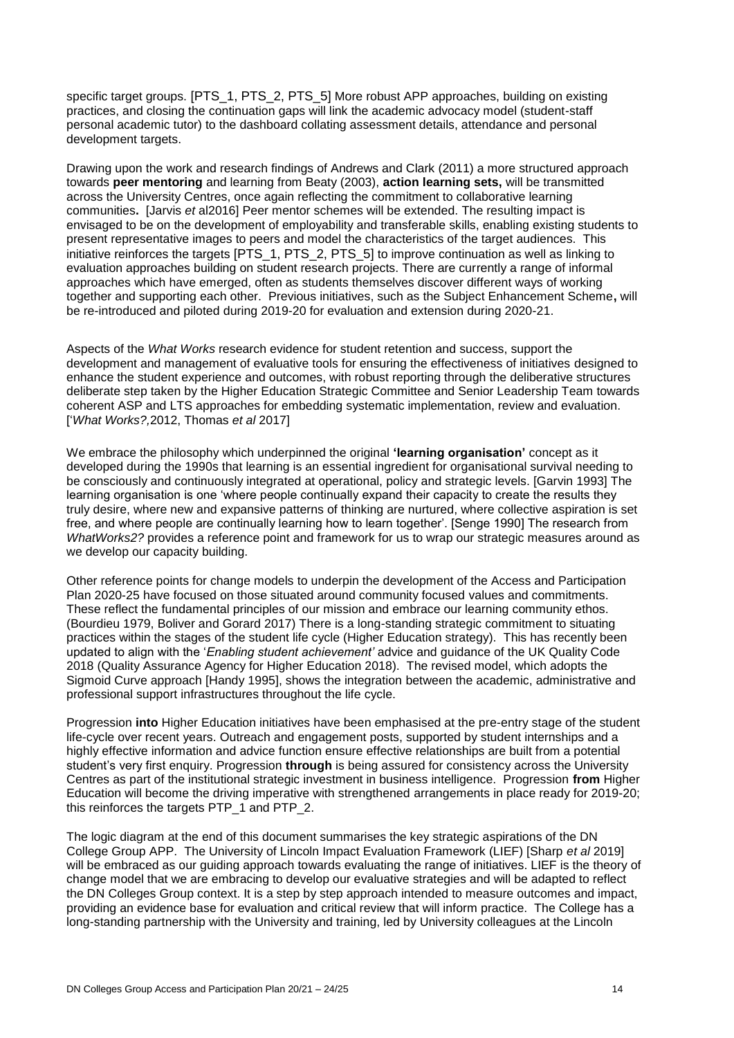specific target groups. [PTS\_1, PTS\_2, PTS\_5] More robust APP approaches, building on existing practices, and closing the continuation gaps will link the academic advocacy model (student-staff personal academic tutor) to the dashboard collating assessment details, attendance and personal development targets.

Drawing upon the work and research findings of Andrews and Clark (2011) a more structured approach towards **peer mentoring** and learning from Beaty (2003), **action learning sets,** will be transmitted across the University Centres, once again reflecting the commitment to collaborative learning communities**.** [Jarvis *et* al2016] Peer mentor schemes will be extended. The resulting impact is envisaged to be on the development of employability and transferable skills, enabling existing students to present representative images to peers and model the characteristics of the target audiences. This initiative reinforces the targets [PTS\_1, PTS\_2, PTS\_5] to improve continuation as well as linking to evaluation approaches building on student research projects. There are currently a range of informal approaches which have emerged, often as students themselves discover different ways of working together and supporting each other. Previous initiatives, such as the Subject Enhancement Scheme**,** will be re-introduced and piloted during 2019-20 for evaluation and extension during 2020-21.

Aspects of the *What Works* research evidence for student retention and success, support the development and management of evaluative tools for ensuring the effectiveness of initiatives designed to enhance the student experience and outcomes, with robust reporting through the deliberative structures deliberate step taken by the Higher Education Strategic Committee and Senior Leadership Team towards coherent ASP and LTS approaches for embedding systematic implementation, review and evaluation. ['*What Works?,*2012, Thomas *et al* 2017]

We embrace the philosophy which underpinned the original **'learning organisation'** concept as it developed during the 1990s that learning is an essential ingredient for organisational survival needing to be consciously and continuously integrated at operational, policy and strategic levels. [Garvin 1993] The learning organisation is one 'where people continually expand their capacity to create the results they truly desire, where new and expansive patterns of thinking are nurtured, where collective aspiration is set free, and where people are continually learning how to learn together'. [Senge 1990] The research from *WhatWorks2?* provides a reference point and framework for us to wrap our strategic measures around as we develop our capacity building.

Other reference points for change models to underpin the development of the Access and Participation Plan 2020-25 have focused on those situated around community focused values and commitments. These reflect the fundamental principles of our mission and embrace our learning community ethos. (Bourdieu 1979, Boliver and Gorard 2017) There is a long-standing strategic commitment to situating practices within the stages of the student life cycle (Higher Education strategy). This has recently been updated to align with the '*Enabling student achievement'* advice and guidance of the UK Quality Code 2018 (Quality Assurance Agency for Higher Education 2018). The revised model, which adopts the Sigmoid Curve approach [Handy 1995], shows the integration between the academic, administrative and professional support infrastructures throughout the life cycle.

Progression **into** Higher Education initiatives have been emphasised at the pre-entry stage of the student life-cycle over recent years. Outreach and engagement posts, supported by student internships and a highly effective information and advice function ensure effective relationships are built from a potential student's very first enquiry. Progression **through** is being assured for consistency across the University Centres as part of the institutional strategic investment in business intelligence. Progression **from** Higher Education will become the driving imperative with strengthened arrangements in place ready for 2019-20; this reinforces the targets PTP\_1 and PTP\_2.

The logic diagram at the end of this document summarises the key strategic aspirations of the DN College Group APP. The University of Lincoln Impact Evaluation Framework (LIEF) [Sharp *et al* 2019] will be embraced as our guiding approach towards evaluating the range of initiatives. LIEF is the theory of change model that we are embracing to develop our evaluative strategies and will be adapted to reflect the DN Colleges Group context. It is a step by step approach intended to measure outcomes and impact, providing an evidence base for evaluation and critical review that will inform practice. The College has a long-standing partnership with the University and training, led by University colleagues at the Lincoln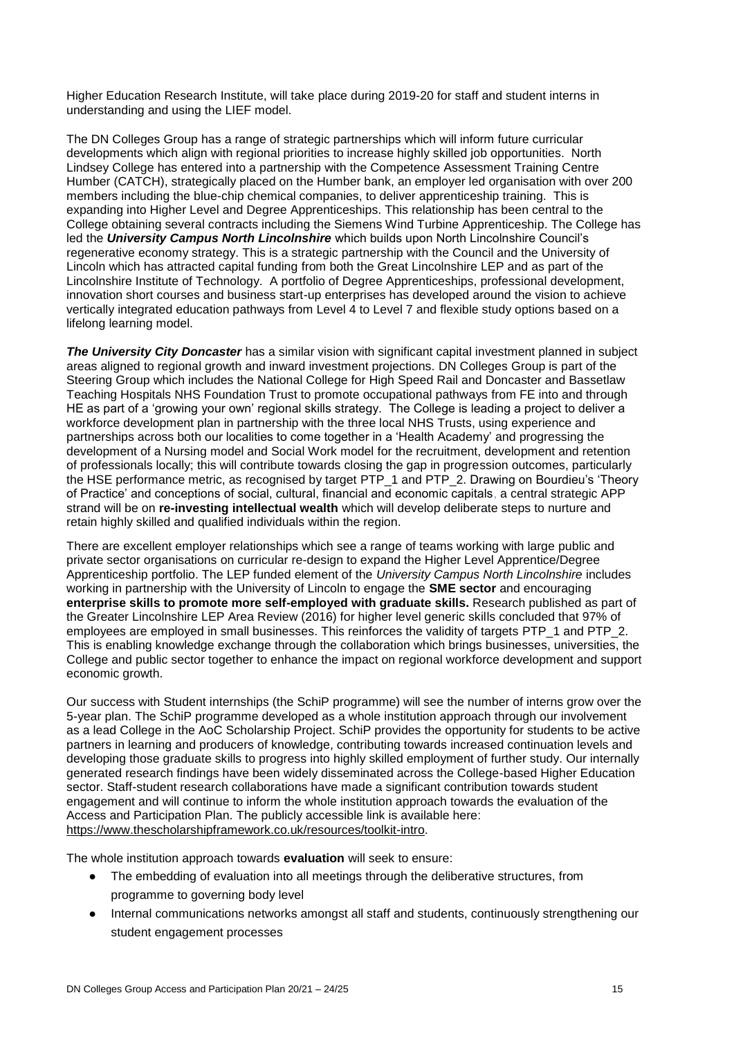Higher Education Research Institute, will take place during 2019-20 for staff and student interns in understanding and using the LIEF model.

The DN Colleges Group has a range of strategic partnerships which will inform future curricular developments which align with regional priorities to increase highly skilled job opportunities. North Lindsey College has entered into a partnership with the Competence Assessment Training Centre Humber (CATCH), strategically placed on the Humber bank, an employer led organisation with over 200 members including the blue-chip chemical companies, to deliver apprenticeship training. This is expanding into Higher Level and Degree Apprenticeships. This relationship has been central to the College obtaining several contracts including the Siemens Wind Turbine Apprenticeship. The College has led the *University Campus North Lincolnshire* which builds upon North Lincolnshire Council's regenerative economy strategy. This is a strategic partnership with the Council and the University of Lincoln which has attracted capital funding from both the Great Lincolnshire LEP and as part of the Lincolnshire Institute of Technology. A portfolio of Degree Apprenticeships, professional development, innovation short courses and business start-up enterprises has developed around the vision to achieve vertically integrated education pathways from Level 4 to Level 7 and flexible study options based on a lifelong learning model.

*The University City Doncaster* has a similar vision with significant capital investment planned in subject areas aligned to regional growth and inward investment projections. DN Colleges Group is part of the Steering Group which includes the National College for High Speed Rail and Doncaster and Bassetlaw Teaching Hospitals NHS Foundation Trust to promote occupational pathways from FE into and through HE as part of a 'growing your own' regional skills strategy. The College is leading a project to deliver a workforce development plan in partnership with the three local NHS Trusts, using experience and partnerships across both our localities to come together in a 'Health Academy' and progressing the development of a Nursing model and Social Work model for the recruitment, development and retention of professionals locally; this will contribute towards closing the gap in progression outcomes, particularly the HSE performance metric, as recognised by target PTP\_1 and PTP\_2. Drawing on Bourdieu's 'Theory of Practice' and conceptions of social, cultural, financial and economic capitals, a central strategic APP strand will be on **re-investing intellectual wealth** which will develop deliberate steps to nurture and retain highly skilled and qualified individuals within the region.

There are excellent employer relationships which see a range of teams working with large public and private sector organisations on curricular re-design to expand the Higher Level Apprentice/Degree Apprenticeship portfolio. The LEP funded element of the *University Campus North Lincolnshire* includes working in partnership with the University of Lincoln to engage the **SME sector** and encouraging **enterprise skills to promote more self-employed with graduate skills.** Research published as part of the Greater Lincolnshire LEP Area Review (2016) for higher level generic skills concluded that 97% of employees are employed in small businesses. This reinforces the validity of targets PTP\_1 and PTP\_2. This is enabling knowledge exchange through the collaboration which brings businesses, universities, the College and public sector together to enhance the impact on regional workforce development and support economic growth.

Our success with Student internships (the SchiP programme) will see the number of interns grow over the 5-year plan. The SchiP programme developed as a whole institution approach through our involvement as a lead College in the AoC Scholarship Project. SchiP provides the opportunity for students to be active partners in learning and producers of knowledge, contributing towards increased continuation levels and developing those graduate skills to progress into highly skilled employment of further study. Our internally generated research findings have been widely disseminated across the College-based Higher Education sector. Staff-student research collaborations have made a significant contribution towards student engagement and will continue to inform the whole institution approach towards the evaluation of the Access and Participation Plan. The publicly accessible link is available here: [https://www.thescholarshipframework.co.uk/resources/toolkit-intro.](https://www.thescholarshipframework.co.uk/resources/toolkit-intro)

The whole institution approach towards **evaluation** will seek to ensure:

- The embedding of evaluation into all meetings through the deliberative structures, from programme to governing body level
- Internal communications networks amongst all staff and students, continuously strengthening our student engagement processes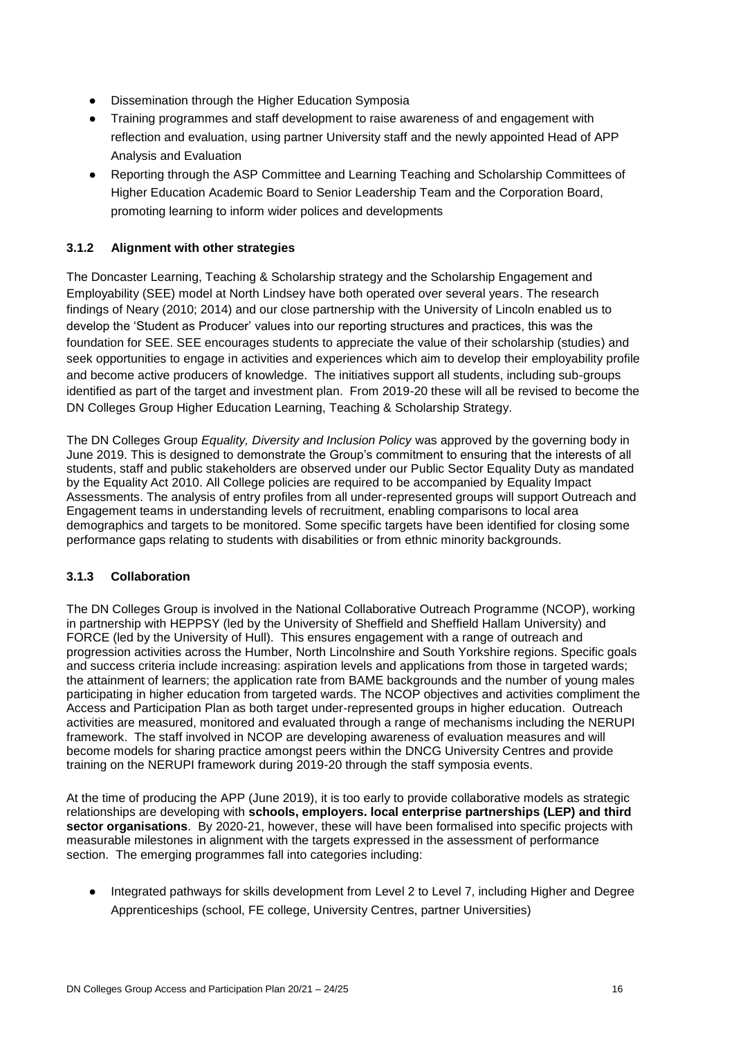- Dissemination through the Higher Education Symposia
- Training programmes and staff development to raise awareness of and engagement with reflection and evaluation, using partner University staff and the newly appointed Head of APP Analysis and Evaluation
- Reporting through the ASP Committee and Learning Teaching and Scholarship Committees of Higher Education Academic Board to Senior Leadership Team and the Corporation Board, promoting learning to inform wider polices and developments

#### **3.1.2 Alignment with other strategies**

The Doncaster Learning, Teaching & Scholarship strategy and the Scholarship Engagement and Employability (SEE) model at North Lindsey have both operated over several years. The research findings of Neary (2010; 2014) and our close partnership with the University of Lincoln enabled us to develop the 'Student as Producer' values into our reporting structures and practices, this was the foundation for SEE. SEE encourages students to appreciate the value of their scholarship (studies) and seek opportunities to engage in activities and experiences which aim to develop their employability profile and become active producers of knowledge. The initiatives support all students, including sub-groups identified as part of the target and investment plan. From 2019-20 these will all be revised to become the DN Colleges Group Higher Education Learning, Teaching & Scholarship Strategy.

The DN Colleges Group *Equality, Diversity and Inclusion Policy* was approved by the governing body in June 2019. This is designed to demonstrate the Group's commitment to ensuring that the interests of all students, staff and public stakeholders are observed under our Public Sector Equality Duty as mandated by the Equality Act 2010. All College policies are required to be accompanied by Equality Impact Assessments. The analysis of entry profiles from all under-represented groups will support Outreach and Engagement teams in understanding levels of recruitment, enabling comparisons to local area demographics and targets to be monitored. Some specific targets have been identified for closing some performance gaps relating to students with disabilities or from ethnic minority backgrounds.

#### **3.1.3 Collaboration**

The DN Colleges Group is involved in the National Collaborative Outreach Programme (NCOP), working in partnership with HEPPSY (led by the University of Sheffield and Sheffield Hallam University) and FORCE (led by the University of Hull). This ensures engagement with a range of outreach and progression activities across the Humber, North Lincolnshire and South Yorkshire regions. Specific goals and success criteria include increasing: aspiration levels and applications from those in targeted wards; the attainment of learners; the application rate from BAME backgrounds and the number of young males participating in higher education from targeted wards. The NCOP objectives and activities compliment the Access and Participation Plan as both target under-represented groups in higher education. Outreach activities are measured, monitored and evaluated through a range of mechanisms including the NERUPI framework. The staff involved in NCOP are developing awareness of evaluation measures and will become models for sharing practice amongst peers within the DNCG University Centres and provide training on the NERUPI framework during 2019-20 through the staff symposia events.

At the time of producing the APP (June 2019), it is too early to provide collaborative models as strategic relationships are developing with **schools, employers. local enterprise partnerships (LEP) and third sector organisations**. By 2020-21, however, these will have been formalised into specific projects with measurable milestones in alignment with the targets expressed in the assessment of performance section. The emerging programmes fall into categories including:

● Integrated pathways for skills development from Level 2 to Level 7, including Higher and Degree Apprenticeships (school, FE college, University Centres, partner Universities)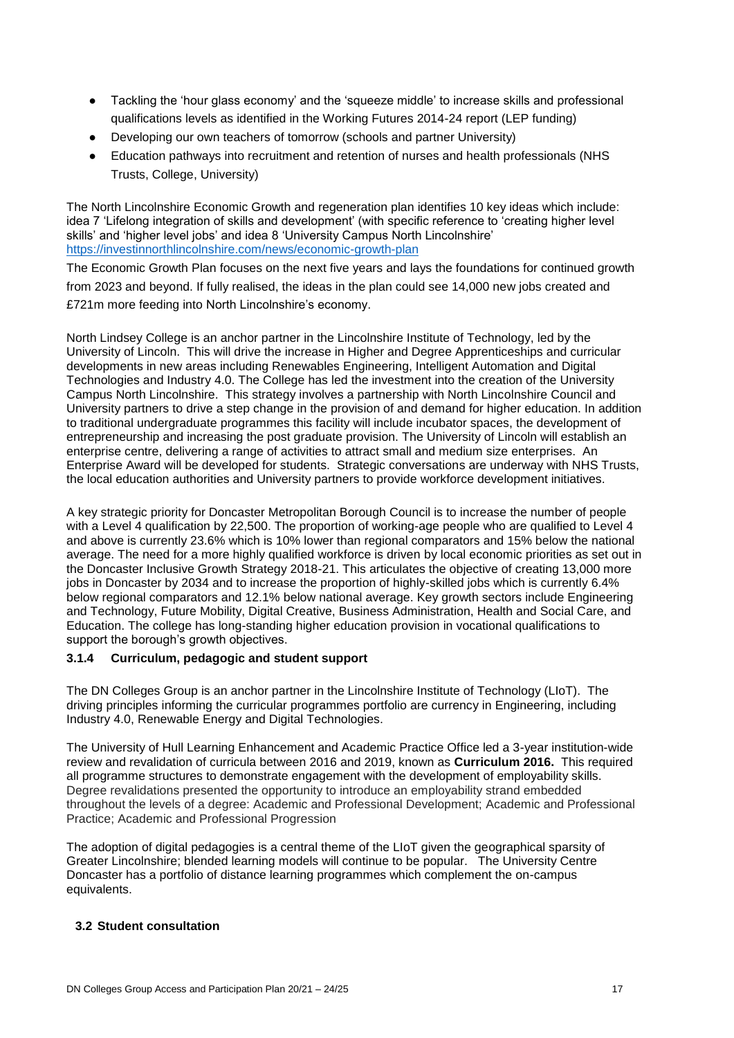- Tackling the 'hour glass economy' and the 'squeeze middle' to increase skills and professional qualifications levels as identified in the Working Futures 2014-24 report (LEP funding)
- Developing our own teachers of tomorrow (schools and partner University)
- Education pathways into recruitment and retention of nurses and health professionals (NHS Trusts, College, University)

The North Lincolnshire Economic Growth and regeneration plan identifies 10 key ideas which include: idea 7 'Lifelong integration of skills and development' (with specific reference to 'creating higher level skills' and 'higher level jobs' and idea 8 'University Campus North Lincolnshire' <https://investinnorthlincolnshire.com/news/economic-growth-plan>

The Economic Growth Plan focuses on the next five years and lays the foundations for continued growth from 2023 and beyond. If fully realised, the ideas in the plan could see 14,000 new jobs created and £721m more feeding into North Lincolnshire's economy.

North Lindsey College is an anchor partner in the Lincolnshire Institute of Technology, led by the University of Lincoln. This will drive the increase in Higher and Degree Apprenticeships and curricular developments in new areas including Renewables Engineering, Intelligent Automation and Digital Technologies and Industry 4.0. The College has led the investment into the creation of the University Campus North Lincolnshire. This strategy involves a partnership with North Lincolnshire Council and University partners to drive a step change in the provision of and demand for higher education. In addition to traditional undergraduate programmes this facility will include incubator spaces, the development of entrepreneurship and increasing the post graduate provision. The University of Lincoln will establish an enterprise centre, delivering a range of activities to attract small and medium size enterprises. An Enterprise Award will be developed for students. Strategic conversations are underway with NHS Trusts, the local education authorities and University partners to provide workforce development initiatives.

A key strategic priority for Doncaster Metropolitan Borough Council is to increase the number of people with a Level 4 qualification by 22,500. The proportion of working-age people who are qualified to Level 4 and above is currently 23.6% which is 10% lower than regional comparators and 15% below the national average. The need for a more highly qualified workforce is driven by local economic priorities as set out in the Doncaster Inclusive Growth Strategy 2018-21. This articulates the objective of creating 13,000 more jobs in Doncaster by 2034 and to increase the proportion of highly-skilled jobs which is currently 6.4% below regional comparators and 12.1% below national average. Key growth sectors include Engineering and Technology, Future Mobility, Digital Creative, Business Administration, Health and Social Care, and Education. The college has long-standing higher education provision in vocational qualifications to support the borough's growth objectives.

#### **3.1.4 Curriculum, pedagogic and student support**

The DN Colleges Group is an anchor partner in the Lincolnshire Institute of Technology (LIoT). The driving principles informing the curricular programmes portfolio are currency in Engineering, including Industry 4.0, Renewable Energy and Digital Technologies.

The University of Hull Learning Enhancement and Academic Practice Office led a 3-year institution-wide review and revalidation of curricula between 2016 and 2019, known as **Curriculum 2016.** This required all programme structures to demonstrate engagement with the development of employability skills. Degree revalidations presented the opportunity to introduce an employability strand embedded throughout the levels of a degree: Academic and Professional Development; Academic and Professional Practice; Academic and Professional Progression

The adoption of digital pedagogies is a central theme of the LIoT given the geographical sparsity of Greater Lincolnshire; blended learning models will continue to be popular. The University Centre Doncaster has a portfolio of distance learning programmes which complement the on-campus equivalents.

#### **3.2 Student consultation**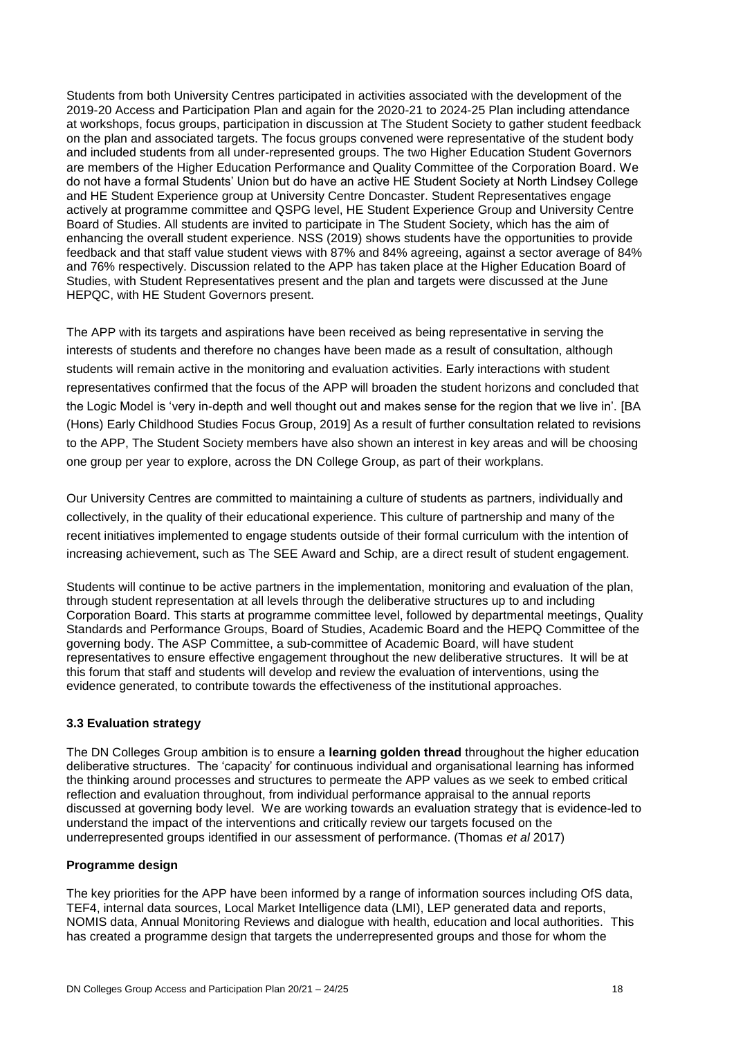Students from both University Centres participated in activities associated with the development of the 2019-20 Access and Participation Plan and again for the 2020-21 to 2024-25 Plan including attendance at workshops, focus groups, participation in discussion at The Student Society to gather student feedback on the plan and associated targets. The focus groups convened were representative of the student body and included students from all under-represented groups. The two Higher Education Student Governors are members of the Higher Education Performance and Quality Committee of the Corporation Board. We do not have a formal Students' Union but do have an active HE Student Society at North Lindsey College and HE Student Experience group at University Centre Doncaster. Student Representatives engage actively at programme committee and QSPG level, HE Student Experience Group and University Centre Board of Studies. All students are invited to participate in The Student Society, which has the aim of enhancing the overall student experience. NSS (2019) shows students have the opportunities to provide feedback and that staff value student views with 87% and 84% agreeing, against a sector average of 84% and 76% respectively. Discussion related to the APP has taken place at the Higher Education Board of Studies, with Student Representatives present and the plan and targets were discussed at the June HEPQC, with HE Student Governors present.

The APP with its targets and aspirations have been received as being representative in serving the interests of students and therefore no changes have been made as a result of consultation, although students will remain active in the monitoring and evaluation activities. Early interactions with student representatives confirmed that the focus of the APP will broaden the student horizons and concluded that the Logic Model is 'very in-depth and well thought out and makes sense for the region that we live in'. [BA (Hons) Early Childhood Studies Focus Group, 2019] As a result of further consultation related to revisions to the APP, The Student Society members have also shown an interest in key areas and will be choosing one group per year to explore, across the DN College Group, as part of their workplans.

Our University Centres are committed to maintaining a culture of students as partners, individually and collectively, in the quality of their educational experience. This culture of partnership and many of the recent initiatives implemented to engage students outside of their formal curriculum with the intention of increasing achievement, such as The SEE Award and Schip, are a direct result of student engagement.

Students will continue to be active partners in the implementation, monitoring and evaluation of the plan, through student representation at all levels through the deliberative structures up to and including Corporation Board. This starts at programme committee level, followed by departmental meetings, Quality Standards and Performance Groups, Board of Studies, Academic Board and the HEPQ Committee of the governing body. The ASP Committee, a sub-committee of Academic Board, will have student representatives to ensure effective engagement throughout the new deliberative structures. It will be at this forum that staff and students will develop and review the evaluation of interventions, using the evidence generated, to contribute towards the effectiveness of the institutional approaches.

#### **3.3 Evaluation strategy**

The DN Colleges Group ambition is to ensure a **learning golden thread** throughout the higher education deliberative structures. The 'capacity' for continuous individual and organisational learning has informed the thinking around processes and structures to permeate the APP values as we seek to embed critical reflection and evaluation throughout, from individual performance appraisal to the annual reports discussed at governing body level. We are working towards an evaluation strategy that is evidence-led to understand the impact of the interventions and critically review our targets focused on the underrepresented groups identified in our assessment of performance. (Thomas *et al* 2017)

#### **Programme design**

The key priorities for the APP have been informed by a range of information sources including OfS data, TEF4, internal data sources, Local Market Intelligence data (LMI), LEP generated data and reports, NOMIS data, Annual Monitoring Reviews and dialogue with health, education and local authorities. This has created a programme design that targets the underrepresented groups and those for whom the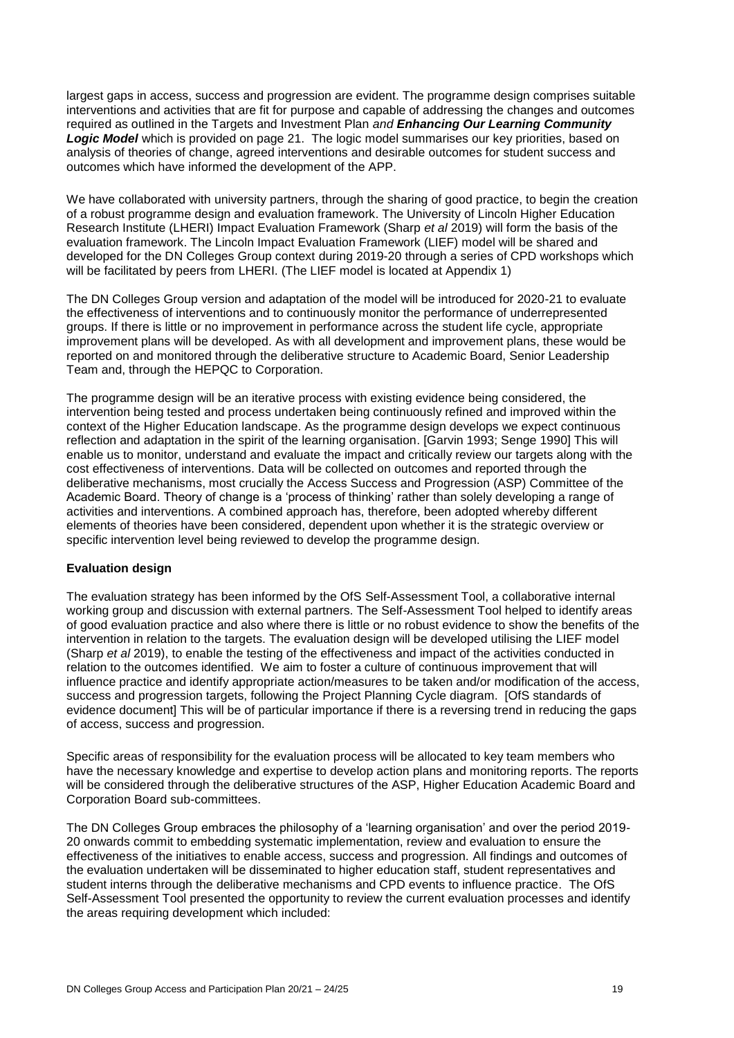largest gaps in access, success and progression are evident. The programme design comprises suitable interventions and activities that are fit for purpose and capable of addressing the changes and outcomes required as outlined in the Targets and Investment Plan *and Enhancing Our Learning Community Logic Model* which is provided on page 21. The logic model summarises our key priorities, based on analysis of theories of change, agreed interventions and desirable outcomes for student success and outcomes which have informed the development of the APP.

We have collaborated with university partners, through the sharing of good practice, to begin the creation of a robust programme design and evaluation framework. The University of Lincoln Higher Education Research Institute (LHERI) Impact Evaluation Framework (Sharp *et al* 2019) will form the basis of the evaluation framework. The Lincoln Impact Evaluation Framework (LIEF) model will be shared and developed for the DN Colleges Group context during 2019-20 through a series of CPD workshops which will be facilitated by peers from LHERI. (The LIEF model is located at Appendix 1)

The DN Colleges Group version and adaptation of the model will be introduced for 2020-21 to evaluate the effectiveness of interventions and to continuously monitor the performance of underrepresented groups. If there is little or no improvement in performance across the student life cycle, appropriate improvement plans will be developed. As with all development and improvement plans, these would be reported on and monitored through the deliberative structure to Academic Board, Senior Leadership Team and, through the HEPQC to Corporation.

The programme design will be an iterative process with existing evidence being considered, the intervention being tested and process undertaken being continuously refined and improved within the context of the Higher Education landscape. As the programme design develops we expect continuous reflection and adaptation in the spirit of the learning organisation. [Garvin 1993; Senge 1990] This will enable us to monitor, understand and evaluate the impact and critically review our targets along with the cost effectiveness of interventions. Data will be collected on outcomes and reported through the deliberative mechanisms, most crucially the Access Success and Progression (ASP) Committee of the Academic Board. Theory of change is a 'process of thinking' rather than solely developing a range of activities and interventions. A combined approach has, therefore, been adopted whereby different elements of theories have been considered, dependent upon whether it is the strategic overview or specific intervention level being reviewed to develop the programme design.

#### **Evaluation design**

The evaluation strategy has been informed by the OfS Self-Assessment Tool, a collaborative internal working group and discussion with external partners. The Self-Assessment Tool helped to identify areas of good evaluation practice and also where there is little or no robust evidence to show the benefits of the intervention in relation to the targets. The evaluation design will be developed utilising the LIEF model (Sharp *et al* 2019), to enable the testing of the effectiveness and impact of the activities conducted in relation to the outcomes identified. We aim to foster a culture of continuous improvement that will influence practice and identify appropriate action/measures to be taken and/or modification of the access, success and progression targets, following the Project Planning Cycle diagram. [OfS standards of evidence document] This will be of particular importance if there is a reversing trend in reducing the gaps of access, success and progression.

Specific areas of responsibility for the evaluation process will be allocated to key team members who have the necessary knowledge and expertise to develop action plans and monitoring reports. The reports will be considered through the deliberative structures of the ASP, Higher Education Academic Board and Corporation Board sub-committees.

The DN Colleges Group embraces the philosophy of a 'learning organisation' and over the period 2019- 20 onwards commit to embedding systematic implementation, review and evaluation to ensure the effectiveness of the initiatives to enable access, success and progression. All findings and outcomes of the evaluation undertaken will be disseminated to higher education staff, student representatives and student interns through the deliberative mechanisms and CPD events to influence practice. The OfS Self-Assessment Tool presented the opportunity to review the current evaluation processes and identify the areas requiring development which included: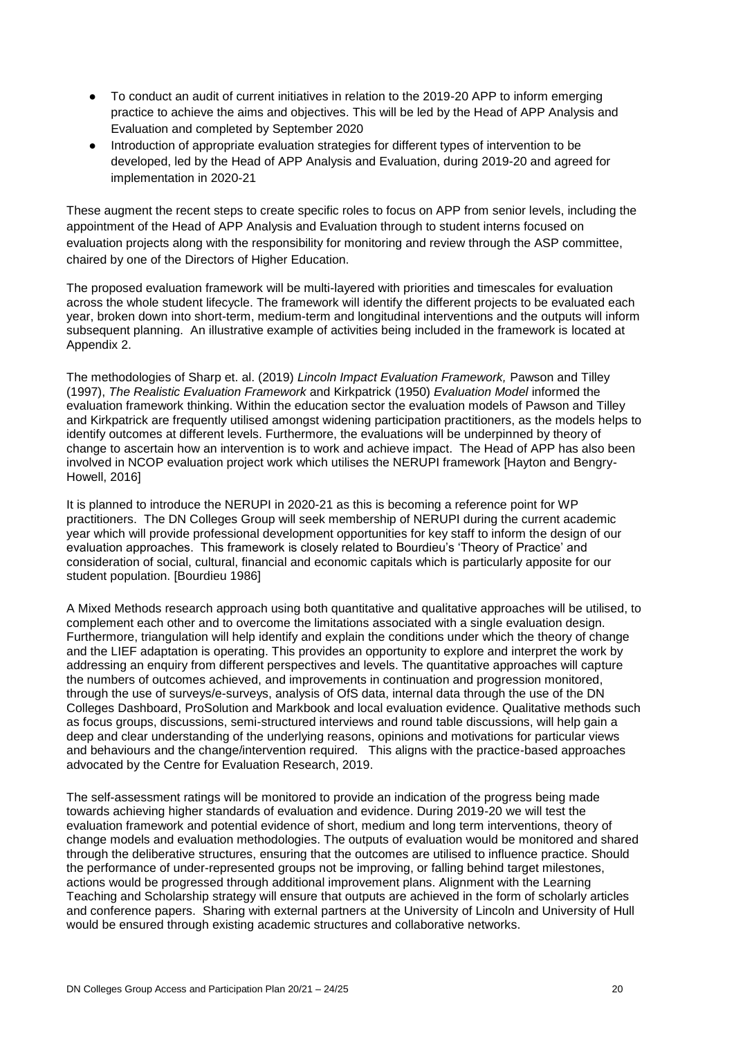- To conduct an audit of current initiatives in relation to the 2019-20 APP to inform emerging practice to achieve the aims and objectives. This will be led by the Head of APP Analysis and Evaluation and completed by September 2020
- Introduction of appropriate evaluation strategies for different types of intervention to be developed, led by the Head of APP Analysis and Evaluation, during 2019-20 and agreed for implementation in 2020-21

These augment the recent steps to create specific roles to focus on APP from senior levels, including the appointment of the Head of APP Analysis and Evaluation through to student interns focused on evaluation projects along with the responsibility for monitoring and review through the ASP committee, chaired by one of the Directors of Higher Education.

The proposed evaluation framework will be multi-layered with priorities and timescales for evaluation across the whole student lifecycle. The framework will identify the different projects to be evaluated each year, broken down into short-term, medium-term and longitudinal interventions and the outputs will inform subsequent planning. An illustrative example of activities being included in the framework is located at Appendix 2.

The methodologies of Sharp et. al. (2019) *Lincoln Impact Evaluation Framework,* Pawson and Tilley (1997), *The Realistic Evaluation Framework* and Kirkpatrick (1950) *Evaluation Model* informed the evaluation framework thinking. Within the education sector the evaluation models of Pawson and Tilley and Kirkpatrick are frequently utilised amongst widening participation practitioners, as the models helps to identify outcomes at different levels. Furthermore, the evaluations will be underpinned by theory of change to ascertain how an intervention is to work and achieve impact. The Head of APP has also been involved in NCOP evaluation project work which utilises the NERUPI framework [Hayton and Bengry-Howell, 2016]

It is planned to introduce the NERUPI in 2020-21 as this is becoming a reference point for WP practitioners. The DN Colleges Group will seek membership of NERUPI during the current academic year which will provide professional development opportunities for key staff to inform the design of our evaluation approaches. This framework is closely related to Bourdieu's 'Theory of Practice' and consideration of social, cultural, financial and economic capitals which is particularly apposite for our student population. [Bourdieu 1986]

A Mixed Methods research approach using both quantitative and qualitative approaches will be utilised, to complement each other and to overcome the limitations associated with a single evaluation design. Furthermore, triangulation will help identify and explain the conditions under which the theory of change and the LIEF adaptation is operating. This provides an opportunity to explore and interpret the work by addressing an enquiry from different perspectives and levels. The quantitative approaches will capture the numbers of outcomes achieved, and improvements in continuation and progression monitored, through the use of surveys/e-surveys, analysis of OfS data, internal data through the use of the DN Colleges Dashboard, ProSolution and Markbook and local evaluation evidence. Qualitative methods such as focus groups, discussions, semi-structured interviews and round table discussions, will help gain a deep and clear understanding of the underlying reasons, opinions and motivations for particular views and behaviours and the change/intervention required. This aligns with the practice-based approaches advocated by the Centre for Evaluation Research, 2019.

The self-assessment ratings will be monitored to provide an indication of the progress being made towards achieving higher standards of evaluation and evidence. During 2019-20 we will test the evaluation framework and potential evidence of short, medium and long term interventions, theory of change models and evaluation methodologies. The outputs of evaluation would be monitored and shared through the deliberative structures, ensuring that the outcomes are utilised to influence practice. Should the performance of under-represented groups not be improving, or falling behind target milestones, actions would be progressed through additional improvement plans. Alignment with the Learning Teaching and Scholarship strategy will ensure that outputs are achieved in the form of scholarly articles and conference papers. Sharing with external partners at the University of Lincoln and University of Hull would be ensured through existing academic structures and collaborative networks.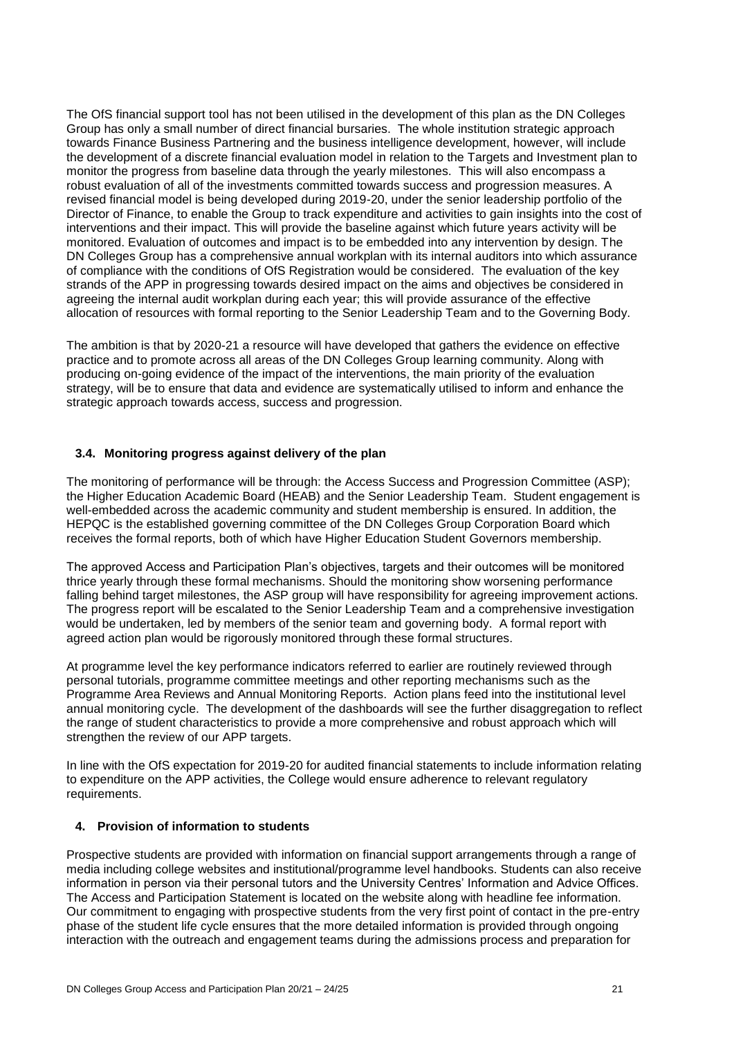The OfS financial support tool has not been utilised in the development of this plan as the DN Colleges Group has only a small number of direct financial bursaries. The whole institution strategic approach towards Finance Business Partnering and the business intelligence development, however, will include the development of a discrete financial evaluation model in relation to the Targets and Investment plan to monitor the progress from baseline data through the yearly milestones. This will also encompass a robust evaluation of all of the investments committed towards success and progression measures. A revised financial model is being developed during 2019-20, under the senior leadership portfolio of the Director of Finance, to enable the Group to track expenditure and activities to gain insights into the cost of interventions and their impact. This will provide the baseline against which future years activity will be monitored. Evaluation of outcomes and impact is to be embedded into any intervention by design. The DN Colleges Group has a comprehensive annual workplan with its internal auditors into which assurance of compliance with the conditions of OfS Registration would be considered. The evaluation of the key strands of the APP in progressing towards desired impact on the aims and objectives be considered in agreeing the internal audit workplan during each year; this will provide assurance of the effective allocation of resources with formal reporting to the Senior Leadership Team and to the Governing Body.

The ambition is that by 2020-21 a resource will have developed that gathers the evidence on effective practice and to promote across all areas of the DN Colleges Group learning community. Along with producing on-going evidence of the impact of the interventions, the main priority of the evaluation strategy, will be to ensure that data and evidence are systematically utilised to inform and enhance the strategic approach towards access, success and progression.

#### **3.4. Monitoring progress against delivery of the plan**

The monitoring of performance will be through: the Access Success and Progression Committee (ASP); the Higher Education Academic Board (HEAB) and the Senior Leadership Team. Student engagement is well-embedded across the academic community and student membership is ensured. In addition, the HEPQC is the established governing committee of the DN Colleges Group Corporation Board which receives the formal reports, both of which have Higher Education Student Governors membership.

The approved Access and Participation Plan's objectives, targets and their outcomes will be monitored thrice yearly through these formal mechanisms. Should the monitoring show worsening performance falling behind target milestones, the ASP group will have responsibility for agreeing improvement actions. The progress report will be escalated to the Senior Leadership Team and a comprehensive investigation would be undertaken, led by members of the senior team and governing body. A formal report with agreed action plan would be rigorously monitored through these formal structures.

At programme level the key performance indicators referred to earlier are routinely reviewed through personal tutorials, programme committee meetings and other reporting mechanisms such as the Programme Area Reviews and Annual Monitoring Reports. Action plans feed into the institutional level annual monitoring cycle. The development of the dashboards will see the further disaggregation to reflect the range of student characteristics to provide a more comprehensive and robust approach which will strengthen the review of our APP targets.

In line with the OfS expectation for 2019-20 for audited financial statements to include information relating to expenditure on the APP activities, the College would ensure adherence to relevant regulatory requirements.

#### **4. Provision of information to students**

Prospective students are provided with information on financial support arrangements through a range of media including college websites and institutional/programme level handbooks. Students can also receive information in person via their personal tutors and the University Centres' Information and Advice Offices. The Access and Participation Statement is located on the website along with headline fee information. Our commitment to engaging with prospective students from the very first point of contact in the pre-entry phase of the student life cycle ensures that the more detailed information is provided through ongoing interaction with the outreach and engagement teams during the admissions process and preparation for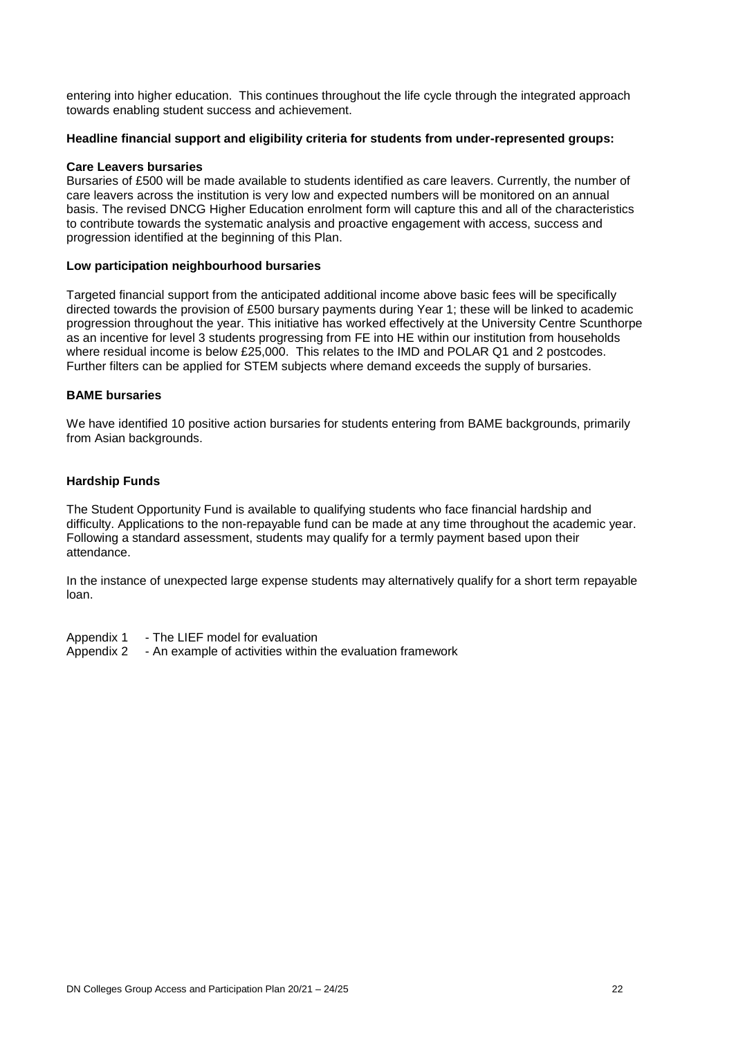entering into higher education. This continues throughout the life cycle through the integrated approach towards enabling student success and achievement.

#### **Headline financial support and eligibility criteria for students from under-represented groups:**

#### **Care Leavers bursaries**

Bursaries of £500 will be made available to students identified as care leavers. Currently, the number of care leavers across the institution is very low and expected numbers will be monitored on an annual basis. The revised DNCG Higher Education enrolment form will capture this and all of the characteristics to contribute towards the systematic analysis and proactive engagement with access, success and progression identified at the beginning of this Plan.

#### **Low participation neighbourhood bursaries**

Targeted financial support from the anticipated additional income above basic fees will be specifically directed towards the provision of £500 bursary payments during Year 1; these will be linked to academic progression throughout the year. This initiative has worked effectively at the University Centre Scunthorpe as an incentive for level 3 students progressing from FE into HE within our institution from households where residual income is below £25,000. This relates to the IMD and POLAR Q1 and 2 postcodes. Further filters can be applied for STEM subjects where demand exceeds the supply of bursaries.

#### **BAME bursaries**

We have identified 10 positive action bursaries for students entering from BAME backgrounds, primarily from Asian backgrounds.

#### **Hardship Funds**

The Student Opportunity Fund is available to qualifying students who face financial hardship and difficulty. Applications to the non-repayable fund can be made at any time throughout the academic year. Following a standard assessment, students may qualify for a termly payment based upon their attendance.

In the instance of unexpected large expense students may alternatively qualify for a short term repayable loan.

- Appendix 1 The LIEF model for evaluation
- Appendix 2 An example of activities within the evaluation framework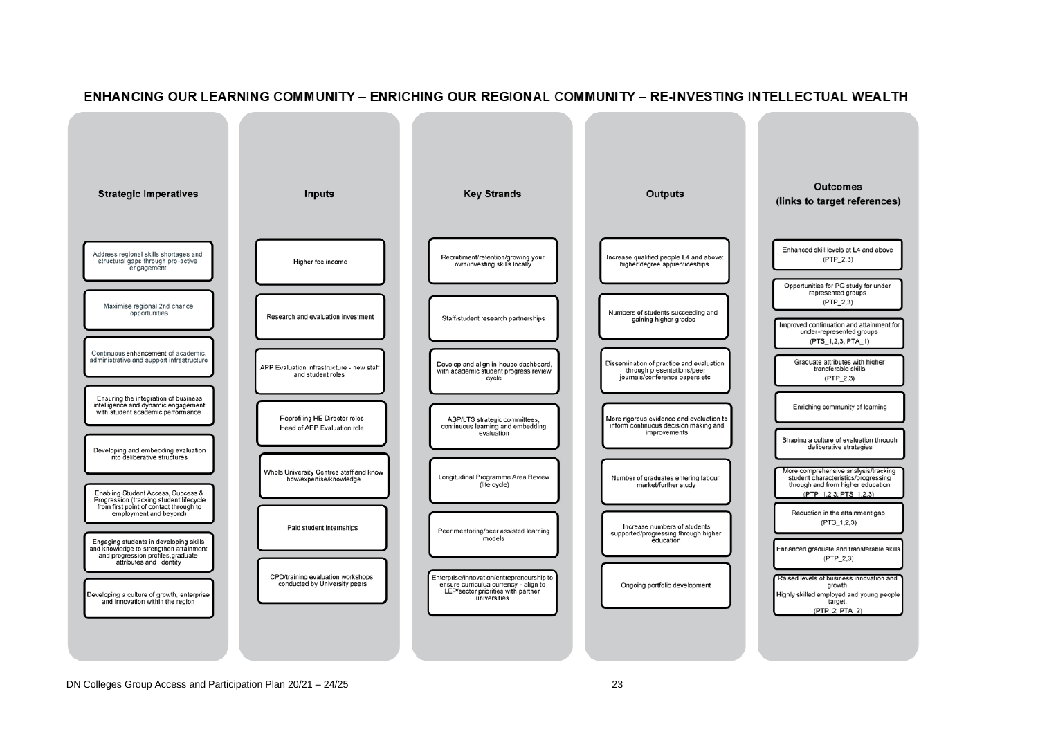

#### ENHANCING OUR LEARNING COMMUNITY – ENRICHING OUR REGIONAL COMMUNITY – RE-INVESTING INTELLECTUAL WEALTH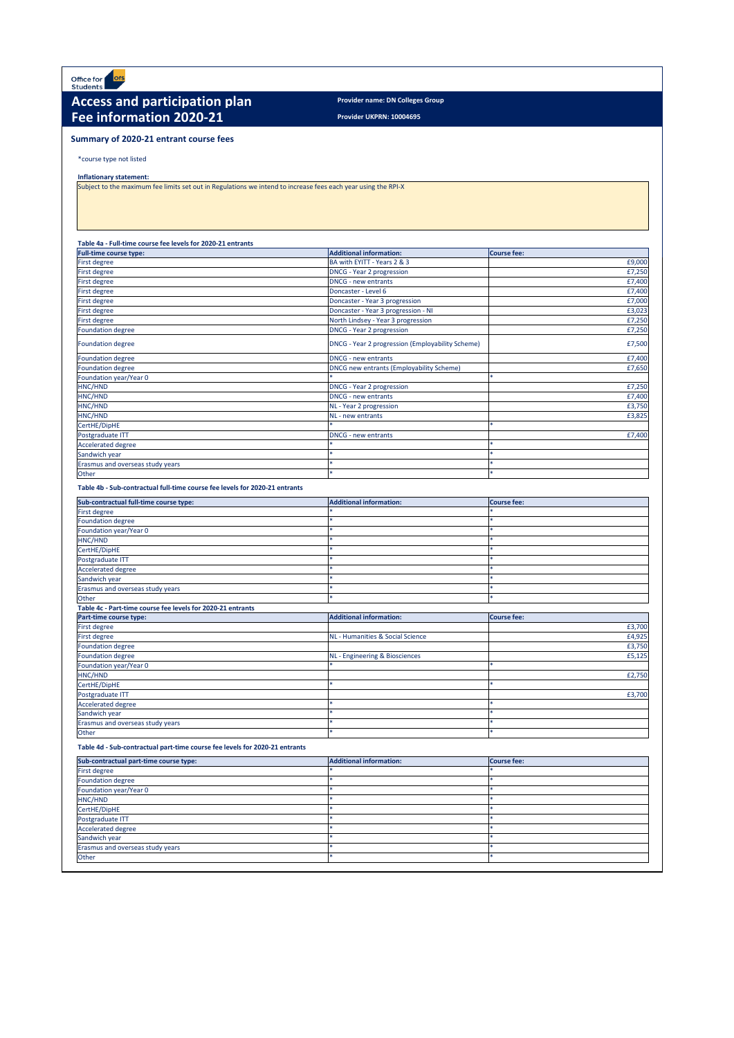**Provider UKPRN: 10004695**

\*course type not listed

**Inflationary statement:** 

### **Table 4a - Full-time course fee levels for 2020-21 entrants**

| <b>Full-time course type:</b>                                               | <b>Additional information:</b>                   | <b>Course fee:</b> |
|-----------------------------------------------------------------------------|--------------------------------------------------|--------------------|
| First degree                                                                | BA with EYITT - Years 2 & 3                      | £9,000             |
| First degree                                                                | <b>DNCG - Year 2 progression</b>                 | £7,250             |
| First degree                                                                | <b>DNCG - new entrants</b>                       | £7,400             |
| First degree                                                                | Doncaster - Level 6                              | £7,400             |
| First degree                                                                | Doncaster - Year 3 progression                   | £7,000             |
| First degree                                                                | Doncaster - Year 3 progression - NI              | £3,023             |
| First degree                                                                | North Lindsey - Year 3 progression               | £7,250             |
| Foundation degree                                                           | <b>DNCG - Year 2 progression</b>                 | £7,250             |
| <b>Foundation degree</b>                                                    | DNCG - Year 2 progression (Employability Scheme) | £7,500             |
| Foundation degree                                                           | <b>DNCG - new entrants</b>                       | £7,400             |
| <b>Foundation degree</b>                                                    | DNCG new entrants (Employability Scheme)         | £7,650             |
| Foundation year/Year 0                                                      |                                                  | $\ast$             |
| HNC/HND                                                                     | <b>DNCG - Year 2 progression</b>                 | £7,250             |
| HNC/HND                                                                     | <b>DNCG</b> - new entrants                       | £7,400             |
| HNC/HND                                                                     | NL - Year 2 progression                          | £3,750             |
| HNC/HND                                                                     | NL - new entrants                                | £3,825             |
| CertHE/DipHE                                                                |                                                  |                    |
| Postgraduate ITT                                                            | <b>DNCG - new entrants</b>                       | £7,400             |
| <b>Accelerated degree</b>                                                   |                                                  |                    |
| Sandwich year                                                               |                                                  |                    |
| Erasmus and overseas study years                                            |                                                  |                    |
| Other                                                                       |                                                  | $\ast$             |
| Table 4b - Sub-contractual full-time course fee levels for 2020-21 entrants |                                                  |                    |
|                                                                             |                                                  |                    |
| Sub-contractual full-time course type:                                      | <b>Additional information:</b>                   | <b>Course fee:</b> |
| First degree                                                                |                                                  |                    |
| <b>Foundation degree</b>                                                    |                                                  |                    |
| Foundation year/Year 0                                                      |                                                  |                    |
| HNC/HND                                                                     |                                                  |                    |
| CertHE/DipHE                                                                |                                                  |                    |
| Postgraduate ITT                                                            |                                                  |                    |
| <b>Accelerated degree</b>                                                   |                                                  |                    |
| Sandwich year                                                               |                                                  |                    |
| Erasmus and overseas study years                                            |                                                  |                    |
| Other                                                                       |                                                  |                    |
| Table 4c - Part-time course fee levels for 2020-21 entrants                 |                                                  |                    |
| <b>Part-time course type:</b>                                               | <b>Additional information:</b>                   | <b>Course fee:</b> |
| First degree                                                                |                                                  | £3,700             |
| First degree                                                                | NL - Humanities & Social Science                 | £4,925             |
| <b>Foundation degree</b>                                                    |                                                  | £3,750             |
| <b>Foundation degree</b>                                                    | NL - Engineering & Biosciences                   | £5,125             |
| Foundation year/Year 0                                                      |                                                  |                    |
| HNC/HND                                                                     |                                                  | £2,750             |
| CertHE/DipHE                                                                |                                                  |                    |
| Postgraduate ITT                                                            |                                                  | £3,700             |
| <b>Accelerated degree</b>                                                   |                                                  |                    |
| Sandwich year                                                               |                                                  |                    |
| Erasmus and overseas study years<br>Other                                   | $\ast$                                           | $\ast$             |



# Access and participation plan **Provider name: DN Colleges Group Fee information 2020-21**

**Table 4d - Sub-contractual part-time course fee levels for 2020-21 entrants**

| Sub-contractual part-time course type:  | <b>Additional information:</b> | <b>Course fee:</b> |
|-----------------------------------------|--------------------------------|--------------------|
| First degree                            |                                |                    |
| <b>Foundation degree</b>                |                                |                    |
| Foundation year/Year 0                  |                                |                    |
| HNC/HND                                 |                                |                    |
| CertHE/DipHE                            |                                |                    |
| Postgraduate ITT                        |                                |                    |
| Accelerated degree                      |                                |                    |
| Sandwich year                           |                                |                    |
| <b>Erasmus and overseas study years</b> |                                |                    |
| <b>Other</b>                            |                                |                    |

## **Summary of 2020-21 entrant course fees**

Subject to the maximum fee limits set out in Regulations we intend to increase fees each year using the RPI-X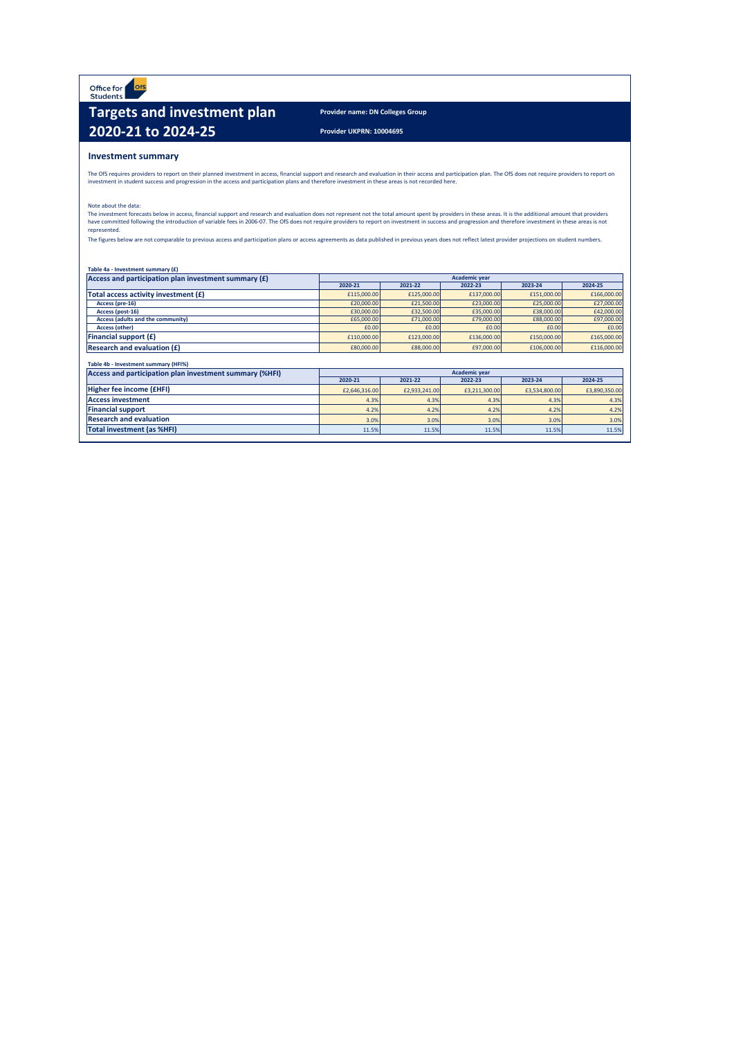Office for<br>Students **OfS** 

# **Targets and investment plan** Provider name: DN Colleges Group **2020-21 to 2024-25** Provider UKPRN: 10004695

### **Investment summary**

The OfS requires providers to report on their planned investment in access, financial support and research and evaluation in their access and participation plan. The OfS does not require providers to report on investment in student success and progression in the access and participation plans and therefore investment in these areas is not recorded here.

The investment forecasts below in access, financial support and research and evaluation does not represent not the total amount spent by providers in these areas. It is the additional amount that providers have committed following the introduction of variable fees in 2006-07. The OfS does not require providers to report on investment in success and progression and therefore investment in these areas is not represented.

The figures below are not comparable to previous access and participation plans or access agreements as data published in previous years does not reflect latest provider projections on student numbers.

| Table 4a - Investment summary (£)                       |                      |               |               |               |               |  |  |  |  |  |
|---------------------------------------------------------|----------------------|---------------|---------------|---------------|---------------|--|--|--|--|--|
| Access and participation plan investment summary $(f)$  | <b>Academic year</b> |               |               |               |               |  |  |  |  |  |
|                                                         | 2020-21              | 2021-22       | 2022-23       | 2023-24       | 2024-25       |  |  |  |  |  |
| Total access activity investment (£)                    | £115,000.00          | £125,000.00   | £137,000.00   | £151,000.00   | £166,000.00   |  |  |  |  |  |
| Access (pre-16)                                         | £20,000.00           | £21,500.00    | £23,000.00    | £25,000.00    | £27,000.00    |  |  |  |  |  |
| Access (post-16)                                        | £30,000.00           | £32,500.00    | £35,000.00    | £38,000.00    | £42,000.00    |  |  |  |  |  |
| <b>Access (adults and the community)</b>                | £65,000.00           | £71,000.00    | £79,000.00    | £88,000.00    | £97,000.00    |  |  |  |  |  |
| <b>Access (other)</b>                                   | £0.00                | £0.00         | £0.00         | £0.00         | £0.00         |  |  |  |  |  |
| <b>Financial support <math>(f)</math></b>               | £110,000.00          | £123,000.00   | £136,000.00   | £150,000.00   | £165,000.00   |  |  |  |  |  |
| <b>Research and evaluation <math>(f)</math></b>         | £80,000.00           | £88,000.00    | £97,000.00    | £106,000.00   | £116,000.00   |  |  |  |  |  |
|                                                         |                      |               |               |               |               |  |  |  |  |  |
| Table 4b - Investment summary (HFI%)                    |                      |               |               |               |               |  |  |  |  |  |
| Access and participation plan investment summary (%HFI) | <b>Academic year</b> |               |               |               |               |  |  |  |  |  |
|                                                         | 2020-21              | 2021-22       | 2022-23       | 2023-24       | 2024-25       |  |  |  |  |  |
| Higher fee income (EHFI)                                | £2,646,316.00        | £2,933,241.00 | £3,211,300.00 | £3,534,800.00 | £3,890,350.00 |  |  |  |  |  |
| <b>Access investment</b>                                | 4.3%                 | 4.3%          | 4.3%          | 4.3%          | 4.3%          |  |  |  |  |  |
| <b>Financial support</b>                                | 4.2%                 | 4.2%          | 4.2%          | 4.2%          | 4.2%          |  |  |  |  |  |
| <b>Research and evaluation</b>                          | 3.0%                 | 3.0%          | 3.0%          | 3.0%          | 3.0%          |  |  |  |  |  |
| <b>Total investment (as %HFI)</b>                       | 11.5%                | 11.5%         | 11.5%         | 11.5%         | 11.5%         |  |  |  |  |  |

Note about the data: